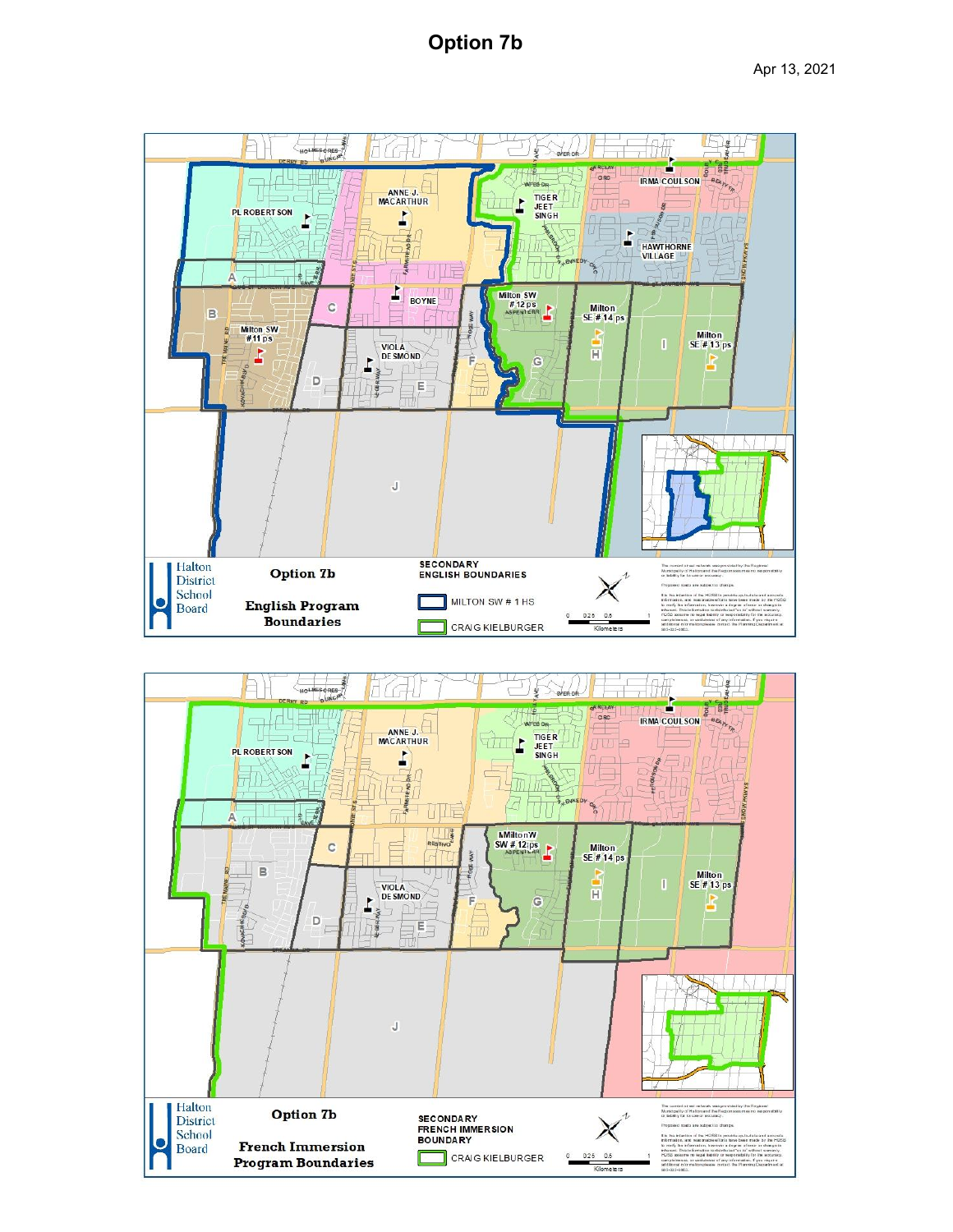## **Option 7b**



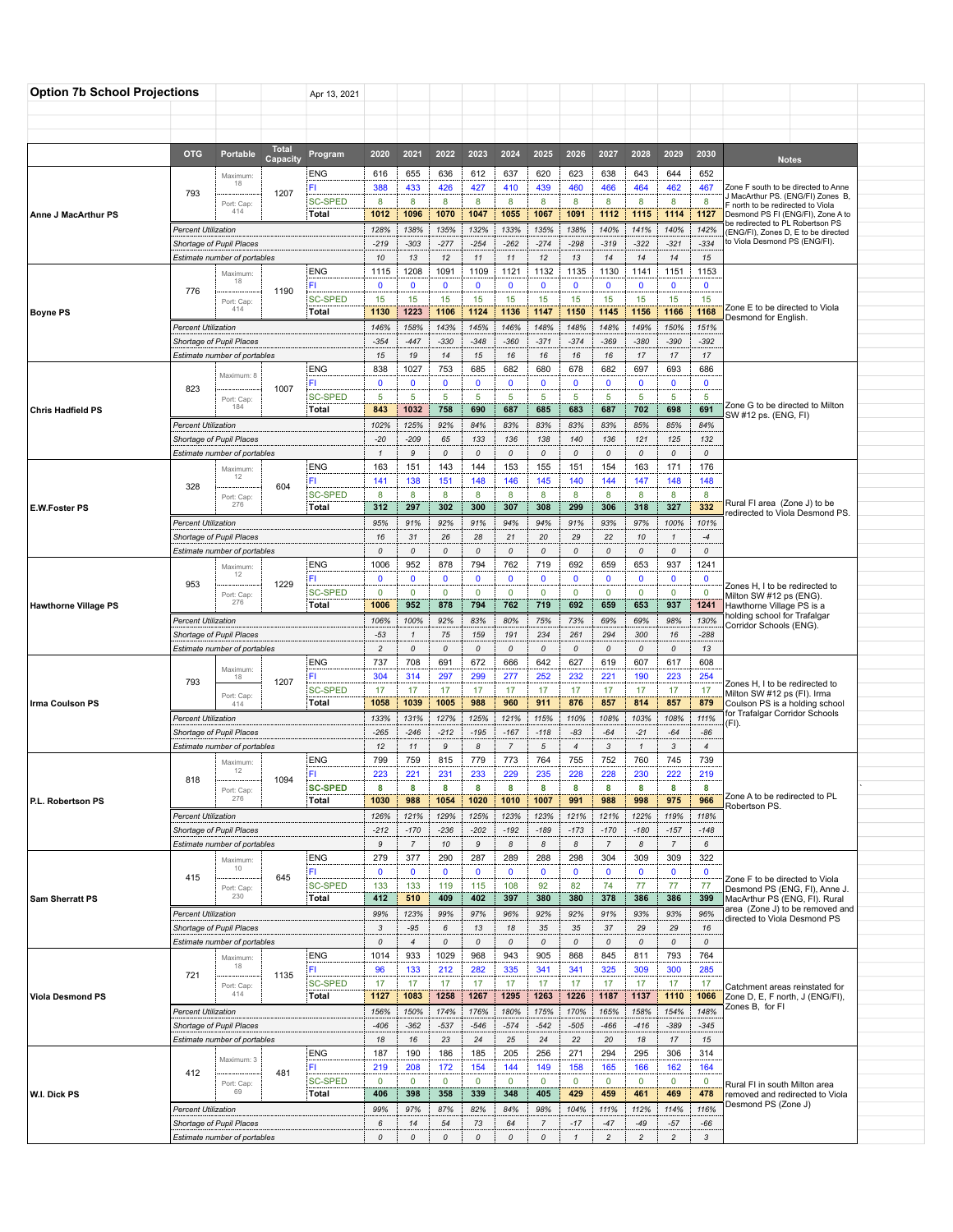| <b>Total</b><br><b>OTG</b><br>Portable<br>2020<br>2021<br>2022<br>2023<br>2024<br>2025<br>2026<br>2027<br>2028<br>2029<br>2030<br>Program<br>Capacity<br><b>Notes</b><br>ENG<br>616<br>655<br>636<br>612<br>637<br>620<br>623<br>638<br>643<br>644<br>652<br>Maximum:<br>18<br>427<br>460<br>FI.<br>388<br>433<br>426<br>410<br>439<br>466<br>464<br>462<br>467<br>Zone F south to be directed to Anne<br>793<br>1207<br>J MacArthur PS. (ENG/FI) Zones B,<br><b>SC-SPED</b><br>8<br>8<br>8<br>8<br>8<br>8<br>8<br>8<br>8<br>8<br>8<br>Port: Cap:<br>north to be redirected to Viola<br>414<br>1070<br>1047<br>1067<br>1091<br>1112<br>Total<br>1012<br>1096<br>1055<br>1115<br>1114<br>1127<br>Desmond PS FI (ENG/FI), Zone A to<br>Anne J MacArthur PS<br>be redirected to PL Robertson PS<br>128%<br>138%<br>135%<br>132%<br>133%<br>135%<br>138%<br>140%<br>141%<br>140%<br><b>Percent Utilization</b><br>142%<br>(ENG/FI), Zones D, E to be directed<br>to Viola Desmond PS (ENG/FI).<br>$-219$<br>$-303$<br>$-277$<br>$-254$<br>$-262$<br>$-274$<br>$-298$<br>$-319$<br>$-322$<br>$-321$<br>$-334$<br>Shortage of Pupil Places<br>10<br>13<br>12<br>11<br>11<br>12<br>13<br>14<br>14<br>14<br>15<br>Estimate number of portables<br><b>ENG</b><br>1091<br>1109<br>1132<br>1130<br>1153<br>1115<br>1208<br>1121<br>1135<br>1141<br>1151<br>Maximum<br>18<br>$\overline{\mathbf{0}}$<br>FI.<br>0<br>$\mathbf 0$<br>$\mathbf 0$<br>$\mathbf 0$<br>$\mathbf 0$<br>$\mathbf 0$<br>0<br>0<br>$\mathbf 0$<br>$\mathbf 0$<br>776<br>1190<br><b>SC-SPED</b><br>15<br>15<br>15<br>15<br>15<br>15<br>15<br>15<br>15<br>15<br>15<br>Port: Cap:<br>Zone E to be directed to Viola<br>414<br>1223<br>1106<br>1124<br>1136<br>1147<br>1150<br>1145<br>1168<br>Total<br>1130<br>1156<br>1166<br><b>Boyne PS</b><br>Desmond for English.<br>146%<br>158%<br>143%<br>145%<br>146%<br>148%<br>148%<br>148%<br>149%<br>150%<br>151%<br><b>Percent Utilization</b><br>$-354$<br>$-447$<br>$-330$<br>$-348$<br>$-360$<br>$-371$<br>$-374$<br>$-369$<br>$-380$<br>$-390$<br>$-392$<br>Shortage of Pupil Places<br>15<br>17<br>Estimate number of portables<br>15<br>19<br>14<br>16<br>16<br>16<br>16<br>17<br>17<br><b>ENG</b><br>838<br>1027<br>753<br>685<br>682<br>680<br>678<br>682<br>697<br>686<br>693<br>Maximum: 8<br>$\mathbf 0$<br>$\mathbf 0$<br>$\mathbf 0$<br>FI.<br>0<br>$\mathbf 0$<br>$\mathbf 0$<br>$\mathbf 0$<br>$\mathbf 0$<br>0<br>$\mathbf 0$<br>$\mathbf 0$<br>1007<br>823<br><b>SC-SPED</b><br>5<br>$\overline{5}$<br>5<br>$\overline{5}$<br>$\overline{5}$<br>$\overline{5}$<br>5<br>5<br>5<br>5<br>5<br>Port: Cap:<br>Zone G to be directed to Milton<br>184<br>843<br>1032<br>758<br>690<br>687<br>685<br>683<br>687<br>702<br>698<br>691<br><b>Chris Hadfield PS</b><br>Total<br>SW #12 ps. (ENG, FI)<br>102%<br>125%<br>83%<br>85%<br><b>Percent Utilization</b><br>92%<br>84%<br>83%<br>83%<br>83%<br>85%<br>84%<br>$-20$<br>133<br>136<br>132<br>Shortage of Pupil Places<br>-209<br>65<br>136<br>138<br>140<br>121<br>125<br>0<br>$\cal O$<br>0<br>0<br>0<br>Estimate number of portables<br>$\mathbf{1}$<br>9<br>0<br>0<br>0<br>0<br><b>ENG</b><br>163<br>151<br>143<br>144<br>153<br>155<br>151<br>154<br>163<br>171<br>176<br>Maximum<br>12<br>151<br>148<br>144<br>148<br>141<br>138<br>146<br>145<br>140<br>147<br>148<br>FI<br>604<br>328<br><b>SC-SPED</b><br>8<br>8<br>8<br>8<br>8<br>8<br>8<br>8<br>8<br>8<br>8<br>Port: Cap:<br>Rural FI area (Zone J) to be<br>276<br>302<br>327<br>332<br><b>E.W.Foster PS</b><br>Total<br>312<br>297<br>300<br>307<br>308<br>299<br>306<br>318<br>edirected to Viola Desmond PS.<br>95%<br>93%<br>97%<br><b>Percent Utilization</b><br>91%<br>92%<br>91%<br>94%<br>94%<br>91%<br>100%<br>101%<br>16<br>26<br>28<br>20<br>29<br>22<br>$-4$<br>Shortage of Pupil Places<br>31<br>21<br>10<br>$\mathbf{1}$<br>0<br>0<br>0<br>0<br>0<br>0<br>$\cal O$<br>Estimate number of portables<br>0<br>0<br>0<br>0<br><b>ENG</b><br>1006<br>952<br>878<br>794<br>762<br>719<br>692<br>659<br>653<br>937<br>1241<br>Maximum<br>12<br>$\mathbf 0$<br>$\mathbf 0$<br>FI.<br>$\mathbf 0$<br>$\mathbf 0$<br>$\mathbf 0$<br>$\mathbf{0}$<br>$\mathbf 0$<br>0<br>$\mathbf{0}$<br>$\mathbf 0$<br>$\mathbf 0$<br>1229<br>953<br>Zones H, I to be redirected to<br><b>SC-SPED</b><br>$\mathbf 0$<br>$\mathbf 0$<br>$\mathbf 0$<br>$\mathbf 0$<br>$\mathbf 0$<br>$\mathbf 0$<br>$\mathbf 0$<br>$\mathbf 0$<br>$\mathbf 0$<br>$\mathbf 0$<br>$\mathbf 0$<br>Port: Cap:<br>Milton SW #12 ps (ENG).<br>276<br>952<br>878<br>692<br>Total<br>1006<br>794<br>762<br>719<br>659<br>653<br>937<br>1241<br>Hawthorne Village PS is a<br><b>Hawthorne Village PS</b><br>holding school for Trafalgar<br>106%<br>100%<br>92%<br>83%<br>80%<br>75%<br>69%<br>69%<br>130%<br><b>Percent Utilization</b><br>73%<br>98%<br>Corridor Schools (ENG).<br>$-53$<br>159<br>294<br>300<br>$-288$<br>Shortage of Pupil Places<br>75<br>191<br>234<br>261<br>16<br>$\mathbf{1}$<br>$\overline{c}$<br>0<br>$\it o$<br>0<br>0<br>13<br>Estimate number of portables<br>0<br>0<br>0<br>0<br>0<br><b>ENG</b><br>737<br>708<br>691<br>672<br>666<br>642<br>627<br>619<br>607<br>617<br>608<br>Maximum<br>304<br>297<br>299<br>252<br>232<br>221<br>190<br>223<br>254<br>314<br>277<br>FI.<br>18<br>793<br>1207<br>Zones H, I to be redirected to<br><b>SC-SPED</b><br>17<br>17<br>17<br>17<br>17<br>17<br>17<br>17<br>17<br>17<br>17<br>Milton SW #12 ps (FI). Irma<br>Port: Cap:<br>1005<br>988<br>Total<br>1058<br>1039<br>960<br>911<br>876<br>857<br>814<br>857<br>879<br>Coulson PS is a holding school<br>Irma Coulson PS<br>414<br>for Trafalgar Corridor Schools<br>111%<br>133%<br>131%<br>127%<br>125%<br>121%<br>115%<br>110%<br>108%<br>103%<br>108%<br><b>Percent Utilization</b><br>(FI).<br>$-265$<br>$-212$<br>$-83$<br>$-21$<br>$-86$<br>Shortage of Pupil Places<br>$-246$<br>$-195$<br>$-167$<br>-118<br>-64<br>-64<br>8<br>3<br>Estimate number of portables<br>12<br>9<br>$\overline{7}$<br>5<br>3<br>$\overline{4}$<br>11<br>$\overline{4}$<br>$\mathcal I$<br><b>ENG</b><br>799<br>759<br>815<br>779<br>773<br>764<br>755<br>752<br>760<br>745<br>739<br>Maximum:<br>12<br>FL.<br>223<br>221<br>231<br>233<br>229<br>235<br>228<br>228<br>230<br>222<br>219<br>1094<br>818<br><b>SC-SPED</b><br>8<br>8<br>8<br>8<br>8<br>8<br>8<br>8<br>8<br>8<br>8<br>Port: Cap:<br>Zone A to be redirected to PL<br>276<br>1030<br>988<br>1054<br>1020<br>1010<br>988<br>975<br>966<br>Total<br>1007<br>991<br>998<br>P.L. Robertson PS<br>Robertson PS.<br>126%<br>123%<br>122%<br><b>Percent Utilization</b><br>121%<br>129%<br>125%<br>123%<br>121%<br>121%<br>119%<br>118%<br>Shortage of Pupil Places<br>$-212$<br>$-170$<br>$-236$<br>$-202$<br>$-192$<br>$-189$<br>$-173$<br>$-170$<br>$-180$<br>$-157$<br>$-148$<br>Estimate number of portables<br>9<br>$\overline{7}$<br>10<br>9<br>8<br>$\overline{7}$<br>$\overline{7}$<br>8<br>8<br>8<br>6<br><b>ENG</b><br>279<br>377<br>290<br>287<br>289<br>288<br>298<br>304<br>309<br>309<br>322<br>Maximum<br>10<br>FI.<br>$\mathbf 0$<br>$\mathbf{0}$<br>$\mathbf 0$<br>$\mathbf 0$<br>$\mathbf{0}$<br>$\mathbf{0}$<br>$\mathbf{0}$<br>$\mathbf{0}$<br>$\mathbf{0}$<br>$\mathbf 0$<br>$\mathbf{0}$<br>415<br>645<br>Zone F to be directed to Viola<br><b>SC-SPED</b><br>119<br>115<br>108<br>92<br>74<br>77<br>77<br>133<br>133<br>82<br>77<br>Port: Cap:<br>Desmond PS (ENG, FI), Anne J.<br>230<br>412<br>409<br>402<br>380<br>380<br>386<br>386<br>Total<br>510<br>397<br>378<br>399<br>MacArthur PS (ENG, FI). Rural<br><b>Sam Sherratt PS</b><br>area (Zone J) to be removed and<br><b>Percent Utilization</b><br>99%<br>123%<br>99%<br>97%<br>96%<br>92%<br>92%<br>91%<br>93%<br>93%<br>96%<br>directed to Viola Desmond PS<br>Shortage of Pupil Places<br>3<br>$-95$<br>13<br>35<br>35<br>37<br>29<br>29<br>16<br>6<br>18<br>Estimate number of portables<br>$\mathcal{O}$<br>$\overline{4}$<br>0<br>$\pmb{\mathit{o}}$<br>0<br>$\mathcal{O}$<br>0<br>0<br>$\mathcal{O}$<br>0<br>$\pmb{\mathit{o}}$<br><b>ENG</b><br>1014<br>933<br>1029<br>968<br>943<br>905<br>868<br>845<br>811<br>793<br>764<br>Maximum<br>18<br>96<br>133<br>212<br>282<br>335<br>341<br>341<br>325<br>309<br>300<br>285<br>FI.<br>721<br>1135<br><b>SC-SPED</b><br>17<br>17<br>17<br>17<br>17<br>17<br>17<br>17<br>17<br>17<br>17<br>Port: Cap:<br>Catchment areas reinstated for<br>414<br>1258<br>1226<br>1137<br>1110<br>Total<br>1127<br>1083<br>1267<br>1295<br>1263<br>1187<br>1066<br>Zone D, E, F north, J (ENG/FI),<br><b>Viola Desmond PS</b><br>Zones B, for FI<br>156%<br>174%<br>165%<br>154%<br>148%<br><b>Percent Utilization</b><br>150%<br>176%<br>180%<br>175%<br>170%<br>158%<br>$-546$<br>$-466$<br>Shortage of Pupil Places<br>$-406$<br>$-362$<br>$-537$<br>$-574$<br>$-542$<br>$-505$<br>$-416$<br>$-389$<br>$-345$<br>18<br>Estimate number of portables<br>16<br>23<br>24<br>25<br>24<br>22<br>20<br>18<br>17<br>15<br><b>ENG</b><br>190<br>186<br>185<br>205<br>256<br>271<br>294<br>295<br>306<br>314<br>187<br>Maximum: 3<br>FI.<br>219<br>154<br>144<br>165<br>164<br>208<br>172<br>149<br>158<br>166<br>162<br>412<br>481<br><b>SC-SPED</b><br>$\mathbf 0$<br>$\mathbf 0$<br>$\mathbf 0$<br>$\mathbf 0$<br>0<br>$\mathbf 0$<br>$\mathbf 0$<br>$\mathbf 0$<br>$\mathbf 0$<br>$\mathbf 0$<br>$\mathbf 0$<br>Port: Cap:<br>Rural FI in south Milton area<br>69<br>W.I. Dick PS<br>406<br>398<br>358<br>339<br>348<br>405<br>429<br>459<br>461<br>469<br>478<br>Total<br>removed and redirected to Viola<br>Desmond PS (Zone J)<br>116%<br><b>Percent Utilization</b><br>99%<br>97%<br>87%<br>82%<br>84%<br>98%<br>104%<br>111%<br>112%<br>114%<br>Shortage of Pupil Places<br>73<br>$\overline{7}$<br>$-17$<br>$-47$<br>$-57$<br>6<br>14<br>54<br>64<br>$-49$<br>-66<br>$\overline{c}$<br>Estimate number of portables<br>0<br>0<br>0<br>0<br>0<br>0<br>$\mathbf{1}$<br>$\overline{c}$<br>$\overline{c}$<br>3 | <b>Option 7b School Projections</b> |  |  |  | Apr 13, 2021 |  |  |  |  |  |  |  |  |
|---------------------------------------------------------------------------------------------------------------------------------------------------------------------------------------------------------------------------------------------------------------------------------------------------------------------------------------------------------------------------------------------------------------------------------------------------------------------------------------------------------------------------------------------------------------------------------------------------------------------------------------------------------------------------------------------------------------------------------------------------------------------------------------------------------------------------------------------------------------------------------------------------------------------------------------------------------------------------------------------------------------------------------------------------------------------------------------------------------------------------------------------------------------------------------------------------------------------------------------------------------------------------------------------------------------------------------------------------------------------------------------------------------------------------------------------------------------------------------------------------------------------------------------------------------------------------------------------------------------------------------------------------------------------------------------------------------------------------------------------------------------------------------------------------------------------------------------------------------------------------------------------------------------------------------------------------------------------------------------------------------------------------------------------------------------------------------------------------------------------------------------------------------------------------------------------------------------------------------------------------------------------------------------------------------------------------------------------------------------------------------------------------------------------------------------------------------------------------------------------------------------------------------------------------------------------------------------------------------------------------------------------------------------------------------------------------------------------------------------------------------------------------------------------------------------------------------------------------------------------------------------------------------------------------------------------------------------------------------------------------------------------------------------------------------------------------------------------------------------------------------------------------------------------------------------------------------------------------------------------------------------------------------------------------------------------------------------------------------------------------------------------------------------------------------------------------------------------------------------------------------------------------------------------------------------------------------------------------------------------------------------------------------------------------------------------------------------------------------------------------------------------------------------------------------------------------------------------------------------------------------------------------------------------------------------------------------------------------------------------------------------------------------------------------------------------------------------------------------------------------------------------------------------------------------------------------------------------------------------------------------------------------------------------------------------------------------------------------------------------------------------------------------------------------------------------------------------------------------------------------------------------------------------------------------------------------------------------------------------------------------------------------------------------------------------------------------------------------------------------------------------------------------------------------------------------------------------------------------------------------------------------------------------------------------------------------------------------------------------------------------------------------------------------------------------------------------------------------------------------------------------------------------------------------------------------------------------------------------------------------------------------------------------------------------------------------------------------------------------------------------------------------------------------------------------------------------------------------------------------------------------------------------------------------------------------------------------------------------------------------------------------------------------------------------------------------------------------------------------------------------------------------------------------------------------------------------------------------------------------------------------------------------------------------------------------------------------------------------------------------------------------------------------------------------------------------------------------------------------------------------------------------------------------------------------------------------------------------------------------------------------------------------------------------------------------------------------------------------------------------------------------------------------------------------------------------------------------------------------------------------------------------------------------------------------------------------------------------------------------------------------------------------------------------------------------------------------------------------------------------------------------------------------------------------------------------------------------------------------------------------------------------------------------------------------------------------------------------------------------------------------------------------------------------------------------------------------------------------------------------------------------------------------------------------------------------------------------------------------------------------------------------------------------------------------------------------------------------------------------------------------------------------------------------------------------------------------------------------------------------------------------------------------------------------------------------------------------------------------------------------------------------------------------------------------------------------------------------------------------------------------------------------------------------------------------------------------------------------------------------------------------------------------------------------------------------------------------------------------------------------------------------------------------------------------------------------------------------------------------------------------------------------------------------------------------------------------------------------------------------------------------------------------------------------------------------------------------------------------------------------------------------------------------------------------------------------------------------------------------------------------------------------------------------------------------------------------------------------------------------------------------------------------------------------------------------------------------------------------------------------------------------------------------------------------------------------------------------------------------------------------------------------------------------------------------------------------------------------------------------------------------------------------------------------------------------------------------------------------------------------------------------------------------------------------------------------------------------------------------------------------------------------------------------------------------------------------------------------------------------------------------------------------------------------------------------------------------------------------------------------------------------------------------------------------------------------------------------------------------------------------------------------------------------------------------------------------------------------------------------------------------------------------------------------------------------------------------------------------------------------------------------------------------------------------------------------------------------------------------|-------------------------------------|--|--|--|--------------|--|--|--|--|--|--|--|--|
|                                                                                                                                                                                                                                                                                                                                                                                                                                                                                                                                                                                                                                                                                                                                                                                                                                                                                                                                                                                                                                                                                                                                                                                                                                                                                                                                                                                                                                                                                                                                                                                                                                                                                                                                                                                                                                                                                                                                                                                                                                                                                                                                                                                                                                                                                                                                                                                                                                                                                                                                                                                                                                                                                                                                                                                                                                                                                                                                                                                                                                                                                                                                                                                                                                                                                                                                                                                                                                                                                                                                                                                                                                                                                                                                                                                                                                                                                                                                                                                                                                                                                                                                                                                                                                                                                                                                                                                                                                                                                                                                                                                                                                                                                                                                                                                                                                                                                                                                                                                                                                                                                                                                                                                                                                                                                                                                                                                                                                                                                                                                                                                                                                                                                                                                                                                                                                                                                                                                                                                                                                                                                                                                                                                                                                                                                                                                                                                                                                                                                                                                                                                                                                                                                                                                                                                                                                                                                                                                                                                                                                                                                                                                                                                                                                                                                                                                                                                                                                                                                                                                                                                                                                                                                                                                                                                                                                                                                                                                                                                                                                                                                                                                                                                                                                                                                                                                                                                                                                                                                                                                                                                                                                                                                                                                                                                                                                                                                                                                                                                                                                                                                                                                                                                                                                                                                                                                                                                                                                                                                                                                                                                                                                                                                                                                                                                                                                                                                                                                                                                             |                                     |  |  |  |              |  |  |  |  |  |  |  |  |
|                                                                                                                                                                                                                                                                                                                                                                                                                                                                                                                                                                                                                                                                                                                                                                                                                                                                                                                                                                                                                                                                                                                                                                                                                                                                                                                                                                                                                                                                                                                                                                                                                                                                                                                                                                                                                                                                                                                                                                                                                                                                                                                                                                                                                                                                                                                                                                                                                                                                                                                                                                                                                                                                                                                                                                                                                                                                                                                                                                                                                                                                                                                                                                                                                                                                                                                                                                                                                                                                                                                                                                                                                                                                                                                                                                                                                                                                                                                                                                                                                                                                                                                                                                                                                                                                                                                                                                                                                                                                                                                                                                                                                                                                                                                                                                                                                                                                                                                                                                                                                                                                                                                                                                                                                                                                                                                                                                                                                                                                                                                                                                                                                                                                                                                                                                                                                                                                                                                                                                                                                                                                                                                                                                                                                                                                                                                                                                                                                                                                                                                                                                                                                                                                                                                                                                                                                                                                                                                                                                                                                                                                                                                                                                                                                                                                                                                                                                                                                                                                                                                                                                                                                                                                                                                                                                                                                                                                                                                                                                                                                                                                                                                                                                                                                                                                                                                                                                                                                                                                                                                                                                                                                                                                                                                                                                                                                                                                                                                                                                                                                                                                                                                                                                                                                                                                                                                                                                                                                                                                                                                                                                                                                                                                                                                                                                                                                                                                                                                                                                                             |                                     |  |  |  |              |  |  |  |  |  |  |  |  |
|                                                                                                                                                                                                                                                                                                                                                                                                                                                                                                                                                                                                                                                                                                                                                                                                                                                                                                                                                                                                                                                                                                                                                                                                                                                                                                                                                                                                                                                                                                                                                                                                                                                                                                                                                                                                                                                                                                                                                                                                                                                                                                                                                                                                                                                                                                                                                                                                                                                                                                                                                                                                                                                                                                                                                                                                                                                                                                                                                                                                                                                                                                                                                                                                                                                                                                                                                                                                                                                                                                                                                                                                                                                                                                                                                                                                                                                                                                                                                                                                                                                                                                                                                                                                                                                                                                                                                                                                                                                                                                                                                                                                                                                                                                                                                                                                                                                                                                                                                                                                                                                                                                                                                                                                                                                                                                                                                                                                                                                                                                                                                                                                                                                                                                                                                                                                                                                                                                                                                                                                                                                                                                                                                                                                                                                                                                                                                                                                                                                                                                                                                                                                                                                                                                                                                                                                                                                                                                                                                                                                                                                                                                                                                                                                                                                                                                                                                                                                                                                                                                                                                                                                                                                                                                                                                                                                                                                                                                                                                                                                                                                                                                                                                                                                                                                                                                                                                                                                                                                                                                                                                                                                                                                                                                                                                                                                                                                                                                                                                                                                                                                                                                                                                                                                                                                                                                                                                                                                                                                                                                                                                                                                                                                                                                                                                                                                                                                                                                                                                                                             |                                     |  |  |  |              |  |  |  |  |  |  |  |  |
|                                                                                                                                                                                                                                                                                                                                                                                                                                                                                                                                                                                                                                                                                                                                                                                                                                                                                                                                                                                                                                                                                                                                                                                                                                                                                                                                                                                                                                                                                                                                                                                                                                                                                                                                                                                                                                                                                                                                                                                                                                                                                                                                                                                                                                                                                                                                                                                                                                                                                                                                                                                                                                                                                                                                                                                                                                                                                                                                                                                                                                                                                                                                                                                                                                                                                                                                                                                                                                                                                                                                                                                                                                                                                                                                                                                                                                                                                                                                                                                                                                                                                                                                                                                                                                                                                                                                                                                                                                                                                                                                                                                                                                                                                                                                                                                                                                                                                                                                                                                                                                                                                                                                                                                                                                                                                                                                                                                                                                                                                                                                                                                                                                                                                                                                                                                                                                                                                                                                                                                                                                                                                                                                                                                                                                                                                                                                                                                                                                                                                                                                                                                                                                                                                                                                                                                                                                                                                                                                                                                                                                                                                                                                                                                                                                                                                                                                                                                                                                                                                                                                                                                                                                                                                                                                                                                                                                                                                                                                                                                                                                                                                                                                                                                                                                                                                                                                                                                                                                                                                                                                                                                                                                                                                                                                                                                                                                                                                                                                                                                                                                                                                                                                                                                                                                                                                                                                                                                                                                                                                                                                                                                                                                                                                                                                                                                                                                                                                                                                                                                             |                                     |  |  |  |              |  |  |  |  |  |  |  |  |
|                                                                                                                                                                                                                                                                                                                                                                                                                                                                                                                                                                                                                                                                                                                                                                                                                                                                                                                                                                                                                                                                                                                                                                                                                                                                                                                                                                                                                                                                                                                                                                                                                                                                                                                                                                                                                                                                                                                                                                                                                                                                                                                                                                                                                                                                                                                                                                                                                                                                                                                                                                                                                                                                                                                                                                                                                                                                                                                                                                                                                                                                                                                                                                                                                                                                                                                                                                                                                                                                                                                                                                                                                                                                                                                                                                                                                                                                                                                                                                                                                                                                                                                                                                                                                                                                                                                                                                                                                                                                                                                                                                                                                                                                                                                                                                                                                                                                                                                                                                                                                                                                                                                                                                                                                                                                                                                                                                                                                                                                                                                                                                                                                                                                                                                                                                                                                                                                                                                                                                                                                                                                                                                                                                                                                                                                                                                                                                                                                                                                                                                                                                                                                                                                                                                                                                                                                                                                                                                                                                                                                                                                                                                                                                                                                                                                                                                                                                                                                                                                                                                                                                                                                                                                                                                                                                                                                                                                                                                                                                                                                                                                                                                                                                                                                                                                                                                                                                                                                                                                                                                                                                                                                                                                                                                                                                                                                                                                                                                                                                                                                                                                                                                                                                                                                                                                                                                                                                                                                                                                                                                                                                                                                                                                                                                                                                                                                                                                                                                                                                                             |                                     |  |  |  |              |  |  |  |  |  |  |  |  |
|                                                                                                                                                                                                                                                                                                                                                                                                                                                                                                                                                                                                                                                                                                                                                                                                                                                                                                                                                                                                                                                                                                                                                                                                                                                                                                                                                                                                                                                                                                                                                                                                                                                                                                                                                                                                                                                                                                                                                                                                                                                                                                                                                                                                                                                                                                                                                                                                                                                                                                                                                                                                                                                                                                                                                                                                                                                                                                                                                                                                                                                                                                                                                                                                                                                                                                                                                                                                                                                                                                                                                                                                                                                                                                                                                                                                                                                                                                                                                                                                                                                                                                                                                                                                                                                                                                                                                                                                                                                                                                                                                                                                                                                                                                                                                                                                                                                                                                                                                                                                                                                                                                                                                                                                                                                                                                                                                                                                                                                                                                                                                                                                                                                                                                                                                                                                                                                                                                                                                                                                                                                                                                                                                                                                                                                                                                                                                                                                                                                                                                                                                                                                                                                                                                                                                                                                                                                                                                                                                                                                                                                                                                                                                                                                                                                                                                                                                                                                                                                                                                                                                                                                                                                                                                                                                                                                                                                                                                                                                                                                                                                                                                                                                                                                                                                                                                                                                                                                                                                                                                                                                                                                                                                                                                                                                                                                                                                                                                                                                                                                                                                                                                                                                                                                                                                                                                                                                                                                                                                                                                                                                                                                                                                                                                                                                                                                                                                                                                                                                                                             |                                     |  |  |  |              |  |  |  |  |  |  |  |  |
|                                                                                                                                                                                                                                                                                                                                                                                                                                                                                                                                                                                                                                                                                                                                                                                                                                                                                                                                                                                                                                                                                                                                                                                                                                                                                                                                                                                                                                                                                                                                                                                                                                                                                                                                                                                                                                                                                                                                                                                                                                                                                                                                                                                                                                                                                                                                                                                                                                                                                                                                                                                                                                                                                                                                                                                                                                                                                                                                                                                                                                                                                                                                                                                                                                                                                                                                                                                                                                                                                                                                                                                                                                                                                                                                                                                                                                                                                                                                                                                                                                                                                                                                                                                                                                                                                                                                                                                                                                                                                                                                                                                                                                                                                                                                                                                                                                                                                                                                                                                                                                                                                                                                                                                                                                                                                                                                                                                                                                                                                                                                                                                                                                                                                                                                                                                                                                                                                                                                                                                                                                                                                                                                                                                                                                                                                                                                                                                                                                                                                                                                                                                                                                                                                                                                                                                                                                                                                                                                                                                                                                                                                                                                                                                                                                                                                                                                                                                                                                                                                                                                                                                                                                                                                                                                                                                                                                                                                                                                                                                                                                                                                                                                                                                                                                                                                                                                                                                                                                                                                                                                                                                                                                                                                                                                                                                                                                                                                                                                                                                                                                                                                                                                                                                                                                                                                                                                                                                                                                                                                                                                                                                                                                                                                                                                                                                                                                                                                                                                                                                             |                                     |  |  |  |              |  |  |  |  |  |  |  |  |
|                                                                                                                                                                                                                                                                                                                                                                                                                                                                                                                                                                                                                                                                                                                                                                                                                                                                                                                                                                                                                                                                                                                                                                                                                                                                                                                                                                                                                                                                                                                                                                                                                                                                                                                                                                                                                                                                                                                                                                                                                                                                                                                                                                                                                                                                                                                                                                                                                                                                                                                                                                                                                                                                                                                                                                                                                                                                                                                                                                                                                                                                                                                                                                                                                                                                                                                                                                                                                                                                                                                                                                                                                                                                                                                                                                                                                                                                                                                                                                                                                                                                                                                                                                                                                                                                                                                                                                                                                                                                                                                                                                                                                                                                                                                                                                                                                                                                                                                                                                                                                                                                                                                                                                                                                                                                                                                                                                                                                                                                                                                                                                                                                                                                                                                                                                                                                                                                                                                                                                                                                                                                                                                                                                                                                                                                                                                                                                                                                                                                                                                                                                                                                                                                                                                                                                                                                                                                                                                                                                                                                                                                                                                                                                                                                                                                                                                                                                                                                                                                                                                                                                                                                                                                                                                                                                                                                                                                                                                                                                                                                                                                                                                                                                                                                                                                                                                                                                                                                                                                                                                                                                                                                                                                                                                                                                                                                                                                                                                                                                                                                                                                                                                                                                                                                                                                                                                                                                                                                                                                                                                                                                                                                                                                                                                                                                                                                                                                                                                                                                                             |                                     |  |  |  |              |  |  |  |  |  |  |  |  |
|                                                                                                                                                                                                                                                                                                                                                                                                                                                                                                                                                                                                                                                                                                                                                                                                                                                                                                                                                                                                                                                                                                                                                                                                                                                                                                                                                                                                                                                                                                                                                                                                                                                                                                                                                                                                                                                                                                                                                                                                                                                                                                                                                                                                                                                                                                                                                                                                                                                                                                                                                                                                                                                                                                                                                                                                                                                                                                                                                                                                                                                                                                                                                                                                                                                                                                                                                                                                                                                                                                                                                                                                                                                                                                                                                                                                                                                                                                                                                                                                                                                                                                                                                                                                                                                                                                                                                                                                                                                                                                                                                                                                                                                                                                                                                                                                                                                                                                                                                                                                                                                                                                                                                                                                                                                                                                                                                                                                                                                                                                                                                                                                                                                                                                                                                                                                                                                                                                                                                                                                                                                                                                                                                                                                                                                                                                                                                                                                                                                                                                                                                                                                                                                                                                                                                                                                                                                                                                                                                                                                                                                                                                                                                                                                                                                                                                                                                                                                                                                                                                                                                                                                                                                                                                                                                                                                                                                                                                                                                                                                                                                                                                                                                                                                                                                                                                                                                                                                                                                                                                                                                                                                                                                                                                                                                                                                                                                                                                                                                                                                                                                                                                                                                                                                                                                                                                                                                                                                                                                                                                                                                                                                                                                                                                                                                                                                                                                                                                                                                                                             |                                     |  |  |  |              |  |  |  |  |  |  |  |  |
|                                                                                                                                                                                                                                                                                                                                                                                                                                                                                                                                                                                                                                                                                                                                                                                                                                                                                                                                                                                                                                                                                                                                                                                                                                                                                                                                                                                                                                                                                                                                                                                                                                                                                                                                                                                                                                                                                                                                                                                                                                                                                                                                                                                                                                                                                                                                                                                                                                                                                                                                                                                                                                                                                                                                                                                                                                                                                                                                                                                                                                                                                                                                                                                                                                                                                                                                                                                                                                                                                                                                                                                                                                                                                                                                                                                                                                                                                                                                                                                                                                                                                                                                                                                                                                                                                                                                                                                                                                                                                                                                                                                                                                                                                                                                                                                                                                                                                                                                                                                                                                                                                                                                                                                                                                                                                                                                                                                                                                                                                                                                                                                                                                                                                                                                                                                                                                                                                                                                                                                                                                                                                                                                                                                                                                                                                                                                                                                                                                                                                                                                                                                                                                                                                                                                                                                                                                                                                                                                                                                                                                                                                                                                                                                                                                                                                                                                                                                                                                                                                                                                                                                                                                                                                                                                                                                                                                                                                                                                                                                                                                                                                                                                                                                                                                                                                                                                                                                                                                                                                                                                                                                                                                                                                                                                                                                                                                                                                                                                                                                                                                                                                                                                                                                                                                                                                                                                                                                                                                                                                                                                                                                                                                                                                                                                                                                                                                                                                                                                                                                             |                                     |  |  |  |              |  |  |  |  |  |  |  |  |
|                                                                                                                                                                                                                                                                                                                                                                                                                                                                                                                                                                                                                                                                                                                                                                                                                                                                                                                                                                                                                                                                                                                                                                                                                                                                                                                                                                                                                                                                                                                                                                                                                                                                                                                                                                                                                                                                                                                                                                                                                                                                                                                                                                                                                                                                                                                                                                                                                                                                                                                                                                                                                                                                                                                                                                                                                                                                                                                                                                                                                                                                                                                                                                                                                                                                                                                                                                                                                                                                                                                                                                                                                                                                                                                                                                                                                                                                                                                                                                                                                                                                                                                                                                                                                                                                                                                                                                                                                                                                                                                                                                                                                                                                                                                                                                                                                                                                                                                                                                                                                                                                                                                                                                                                                                                                                                                                                                                                                                                                                                                                                                                                                                                                                                                                                                                                                                                                                                                                                                                                                                                                                                                                                                                                                                                                                                                                                                                                                                                                                                                                                                                                                                                                                                                                                                                                                                                                                                                                                                                                                                                                                                                                                                                                                                                                                                                                                                                                                                                                                                                                                                                                                                                                                                                                                                                                                                                                                                                                                                                                                                                                                                                                                                                                                                                                                                                                                                                                                                                                                                                                                                                                                                                                                                                                                                                                                                                                                                                                                                                                                                                                                                                                                                                                                                                                                                                                                                                                                                                                                                                                                                                                                                                                                                                                                                                                                                                                                                                                                                                             |                                     |  |  |  |              |  |  |  |  |  |  |  |  |
|                                                                                                                                                                                                                                                                                                                                                                                                                                                                                                                                                                                                                                                                                                                                                                                                                                                                                                                                                                                                                                                                                                                                                                                                                                                                                                                                                                                                                                                                                                                                                                                                                                                                                                                                                                                                                                                                                                                                                                                                                                                                                                                                                                                                                                                                                                                                                                                                                                                                                                                                                                                                                                                                                                                                                                                                                                                                                                                                                                                                                                                                                                                                                                                                                                                                                                                                                                                                                                                                                                                                                                                                                                                                                                                                                                                                                                                                                                                                                                                                                                                                                                                                                                                                                                                                                                                                                                                                                                                                                                                                                                                                                                                                                                                                                                                                                                                                                                                                                                                                                                                                                                                                                                                                                                                                                                                                                                                                                                                                                                                                                                                                                                                                                                                                                                                                                                                                                                                                                                                                                                                                                                                                                                                                                                                                                                                                                                                                                                                                                                                                                                                                                                                                                                                                                                                                                                                                                                                                                                                                                                                                                                                                                                                                                                                                                                                                                                                                                                                                                                                                                                                                                                                                                                                                                                                                                                                                                                                                                                                                                                                                                                                                                                                                                                                                                                                                                                                                                                                                                                                                                                                                                                                                                                                                                                                                                                                                                                                                                                                                                                                                                                                                                                                                                                                                                                                                                                                                                                                                                                                                                                                                                                                                                                                                                                                                                                                                                                                                                                                             |                                     |  |  |  |              |  |  |  |  |  |  |  |  |
|                                                                                                                                                                                                                                                                                                                                                                                                                                                                                                                                                                                                                                                                                                                                                                                                                                                                                                                                                                                                                                                                                                                                                                                                                                                                                                                                                                                                                                                                                                                                                                                                                                                                                                                                                                                                                                                                                                                                                                                                                                                                                                                                                                                                                                                                                                                                                                                                                                                                                                                                                                                                                                                                                                                                                                                                                                                                                                                                                                                                                                                                                                                                                                                                                                                                                                                                                                                                                                                                                                                                                                                                                                                                                                                                                                                                                                                                                                                                                                                                                                                                                                                                                                                                                                                                                                                                                                                                                                                                                                                                                                                                                                                                                                                                                                                                                                                                                                                                                                                                                                                                                                                                                                                                                                                                                                                                                                                                                                                                                                                                                                                                                                                                                                                                                                                                                                                                                                                                                                                                                                                                                                                                                                                                                                                                                                                                                                                                                                                                                                                                                                                                                                                                                                                                                                                                                                                                                                                                                                                                                                                                                                                                                                                                                                                                                                                                                                                                                                                                                                                                                                                                                                                                                                                                                                                                                                                                                                                                                                                                                                                                                                                                                                                                                                                                                                                                                                                                                                                                                                                                                                                                                                                                                                                                                                                                                                                                                                                                                                                                                                                                                                                                                                                                                                                                                                                                                                                                                                                                                                                                                                                                                                                                                                                                                                                                                                                                                                                                                                                             |                                     |  |  |  |              |  |  |  |  |  |  |  |  |
|                                                                                                                                                                                                                                                                                                                                                                                                                                                                                                                                                                                                                                                                                                                                                                                                                                                                                                                                                                                                                                                                                                                                                                                                                                                                                                                                                                                                                                                                                                                                                                                                                                                                                                                                                                                                                                                                                                                                                                                                                                                                                                                                                                                                                                                                                                                                                                                                                                                                                                                                                                                                                                                                                                                                                                                                                                                                                                                                                                                                                                                                                                                                                                                                                                                                                                                                                                                                                                                                                                                                                                                                                                                                                                                                                                                                                                                                                                                                                                                                                                                                                                                                                                                                                                                                                                                                                                                                                                                                                                                                                                                                                                                                                                                                                                                                                                                                                                                                                                                                                                                                                                                                                                                                                                                                                                                                                                                                                                                                                                                                                                                                                                                                                                                                                                                                                                                                                                                                                                                                                                                                                                                                                                                                                                                                                                                                                                                                                                                                                                                                                                                                                                                                                                                                                                                                                                                                                                                                                                                                                                                                                                                                                                                                                                                                                                                                                                                                                                                                                                                                                                                                                                                                                                                                                                                                                                                                                                                                                                                                                                                                                                                                                                                                                                                                                                                                                                                                                                                                                                                                                                                                                                                                                                                                                                                                                                                                                                                                                                                                                                                                                                                                                                                                                                                                                                                                                                                                                                                                                                                                                                                                                                                                                                                                                                                                                                                                                                                                                                                             |                                     |  |  |  |              |  |  |  |  |  |  |  |  |
|                                                                                                                                                                                                                                                                                                                                                                                                                                                                                                                                                                                                                                                                                                                                                                                                                                                                                                                                                                                                                                                                                                                                                                                                                                                                                                                                                                                                                                                                                                                                                                                                                                                                                                                                                                                                                                                                                                                                                                                                                                                                                                                                                                                                                                                                                                                                                                                                                                                                                                                                                                                                                                                                                                                                                                                                                                                                                                                                                                                                                                                                                                                                                                                                                                                                                                                                                                                                                                                                                                                                                                                                                                                                                                                                                                                                                                                                                                                                                                                                                                                                                                                                                                                                                                                                                                                                                                                                                                                                                                                                                                                                                                                                                                                                                                                                                                                                                                                                                                                                                                                                                                                                                                                                                                                                                                                                                                                                                                                                                                                                                                                                                                                                                                                                                                                                                                                                                                                                                                                                                                                                                                                                                                                                                                                                                                                                                                                                                                                                                                                                                                                                                                                                                                                                                                                                                                                                                                                                                                                                                                                                                                                                                                                                                                                                                                                                                                                                                                                                                                                                                                                                                                                                                                                                                                                                                                                                                                                                                                                                                                                                                                                                                                                                                                                                                                                                                                                                                                                                                                                                                                                                                                                                                                                                                                                                                                                                                                                                                                                                                                                                                                                                                                                                                                                                                                                                                                                                                                                                                                                                                                                                                                                                                                                                                                                                                                                                                                                                                                                             |                                     |  |  |  |              |  |  |  |  |  |  |  |  |
|                                                                                                                                                                                                                                                                                                                                                                                                                                                                                                                                                                                                                                                                                                                                                                                                                                                                                                                                                                                                                                                                                                                                                                                                                                                                                                                                                                                                                                                                                                                                                                                                                                                                                                                                                                                                                                                                                                                                                                                                                                                                                                                                                                                                                                                                                                                                                                                                                                                                                                                                                                                                                                                                                                                                                                                                                                                                                                                                                                                                                                                                                                                                                                                                                                                                                                                                                                                                                                                                                                                                                                                                                                                                                                                                                                                                                                                                                                                                                                                                                                                                                                                                                                                                                                                                                                                                                                                                                                                                                                                                                                                                                                                                                                                                                                                                                                                                                                                                                                                                                                                                                                                                                                                                                                                                                                                                                                                                                                                                                                                                                                                                                                                                                                                                                                                                                                                                                                                                                                                                                                                                                                                                                                                                                                                                                                                                                                                                                                                                                                                                                                                                                                                                                                                                                                                                                                                                                                                                                                                                                                                                                                                                                                                                                                                                                                                                                                                                                                                                                                                                                                                                                                                                                                                                                                                                                                                                                                                                                                                                                                                                                                                                                                                                                                                                                                                                                                                                                                                                                                                                                                                                                                                                                                                                                                                                                                                                                                                                                                                                                                                                                                                                                                                                                                                                                                                                                                                                                                                                                                                                                                                                                                                                                                                                                                                                                                                                                                                                                                                             |                                     |  |  |  |              |  |  |  |  |  |  |  |  |
|                                                                                                                                                                                                                                                                                                                                                                                                                                                                                                                                                                                                                                                                                                                                                                                                                                                                                                                                                                                                                                                                                                                                                                                                                                                                                                                                                                                                                                                                                                                                                                                                                                                                                                                                                                                                                                                                                                                                                                                                                                                                                                                                                                                                                                                                                                                                                                                                                                                                                                                                                                                                                                                                                                                                                                                                                                                                                                                                                                                                                                                                                                                                                                                                                                                                                                                                                                                                                                                                                                                                                                                                                                                                                                                                                                                                                                                                                                                                                                                                                                                                                                                                                                                                                                                                                                                                                                                                                                                                                                                                                                                                                                                                                                                                                                                                                                                                                                                                                                                                                                                                                                                                                                                                                                                                                                                                                                                                                                                                                                                                                                                                                                                                                                                                                                                                                                                                                                                                                                                                                                                                                                                                                                                                                                                                                                                                                                                                                                                                                                                                                                                                                                                                                                                                                                                                                                                                                                                                                                                                                                                                                                                                                                                                                                                                                                                                                                                                                                                                                                                                                                                                                                                                                                                                                                                                                                                                                                                                                                                                                                                                                                                                                                                                                                                                                                                                                                                                                                                                                                                                                                                                                                                                                                                                                                                                                                                                                                                                                                                                                                                                                                                                                                                                                                                                                                                                                                                                                                                                                                                                                                                                                                                                                                                                                                                                                                                                                                                                                                                             |                                     |  |  |  |              |  |  |  |  |  |  |  |  |
|                                                                                                                                                                                                                                                                                                                                                                                                                                                                                                                                                                                                                                                                                                                                                                                                                                                                                                                                                                                                                                                                                                                                                                                                                                                                                                                                                                                                                                                                                                                                                                                                                                                                                                                                                                                                                                                                                                                                                                                                                                                                                                                                                                                                                                                                                                                                                                                                                                                                                                                                                                                                                                                                                                                                                                                                                                                                                                                                                                                                                                                                                                                                                                                                                                                                                                                                                                                                                                                                                                                                                                                                                                                                                                                                                                                                                                                                                                                                                                                                                                                                                                                                                                                                                                                                                                                                                                                                                                                                                                                                                                                                                                                                                                                                                                                                                                                                                                                                                                                                                                                                                                                                                                                                                                                                                                                                                                                                                                                                                                                                                                                                                                                                                                                                                                                                                                                                                                                                                                                                                                                                                                                                                                                                                                                                                                                                                                                                                                                                                                                                                                                                                                                                                                                                                                                                                                                                                                                                                                                                                                                                                                                                                                                                                                                                                                                                                                                                                                                                                                                                                                                                                                                                                                                                                                                                                                                                                                                                                                                                                                                                                                                                                                                                                                                                                                                                                                                                                                                                                                                                                                                                                                                                                                                                                                                                                                                                                                                                                                                                                                                                                                                                                                                                                                                                                                                                                                                                                                                                                                                                                                                                                                                                                                                                                                                                                                                                                                                                                                                             |                                     |  |  |  |              |  |  |  |  |  |  |  |  |
|                                                                                                                                                                                                                                                                                                                                                                                                                                                                                                                                                                                                                                                                                                                                                                                                                                                                                                                                                                                                                                                                                                                                                                                                                                                                                                                                                                                                                                                                                                                                                                                                                                                                                                                                                                                                                                                                                                                                                                                                                                                                                                                                                                                                                                                                                                                                                                                                                                                                                                                                                                                                                                                                                                                                                                                                                                                                                                                                                                                                                                                                                                                                                                                                                                                                                                                                                                                                                                                                                                                                                                                                                                                                                                                                                                                                                                                                                                                                                                                                                                                                                                                                                                                                                                                                                                                                                                                                                                                                                                                                                                                                                                                                                                                                                                                                                                                                                                                                                                                                                                                                                                                                                                                                                                                                                                                                                                                                                                                                                                                                                                                                                                                                                                                                                                                                                                                                                                                                                                                                                                                                                                                                                                                                                                                                                                                                                                                                                                                                                                                                                                                                                                                                                                                                                                                                                                                                                                                                                                                                                                                                                                                                                                                                                                                                                                                                                                                                                                                                                                                                                                                                                                                                                                                                                                                                                                                                                                                                                                                                                                                                                                                                                                                                                                                                                                                                                                                                                                                                                                                                                                                                                                                                                                                                                                                                                                                                                                                                                                                                                                                                                                                                                                                                                                                                                                                                                                                                                                                                                                                                                                                                                                                                                                                                                                                                                                                                                                                                                                                             |                                     |  |  |  |              |  |  |  |  |  |  |  |  |
|                                                                                                                                                                                                                                                                                                                                                                                                                                                                                                                                                                                                                                                                                                                                                                                                                                                                                                                                                                                                                                                                                                                                                                                                                                                                                                                                                                                                                                                                                                                                                                                                                                                                                                                                                                                                                                                                                                                                                                                                                                                                                                                                                                                                                                                                                                                                                                                                                                                                                                                                                                                                                                                                                                                                                                                                                                                                                                                                                                                                                                                                                                                                                                                                                                                                                                                                                                                                                                                                                                                                                                                                                                                                                                                                                                                                                                                                                                                                                                                                                                                                                                                                                                                                                                                                                                                                                                                                                                                                                                                                                                                                                                                                                                                                                                                                                                                                                                                                                                                                                                                                                                                                                                                                                                                                                                                                                                                                                                                                                                                                                                                                                                                                                                                                                                                                                                                                                                                                                                                                                                                                                                                                                                                                                                                                                                                                                                                                                                                                                                                                                                                                                                                                                                                                                                                                                                                                                                                                                                                                                                                                                                                                                                                                                                                                                                                                                                                                                                                                                                                                                                                                                                                                                                                                                                                                                                                                                                                                                                                                                                                                                                                                                                                                                                                                                                                                                                                                                                                                                                                                                                                                                                                                                                                                                                                                                                                                                                                                                                                                                                                                                                                                                                                                                                                                                                                                                                                                                                                                                                                                                                                                                                                                                                                                                                                                                                                                                                                                                                                             |                                     |  |  |  |              |  |  |  |  |  |  |  |  |
|                                                                                                                                                                                                                                                                                                                                                                                                                                                                                                                                                                                                                                                                                                                                                                                                                                                                                                                                                                                                                                                                                                                                                                                                                                                                                                                                                                                                                                                                                                                                                                                                                                                                                                                                                                                                                                                                                                                                                                                                                                                                                                                                                                                                                                                                                                                                                                                                                                                                                                                                                                                                                                                                                                                                                                                                                                                                                                                                                                                                                                                                                                                                                                                                                                                                                                                                                                                                                                                                                                                                                                                                                                                                                                                                                                                                                                                                                                                                                                                                                                                                                                                                                                                                                                                                                                                                                                                                                                                                                                                                                                                                                                                                                                                                                                                                                                                                                                                                                                                                                                                                                                                                                                                                                                                                                                                                                                                                                                                                                                                                                                                                                                                                                                                                                                                                                                                                                                                                                                                                                                                                                                                                                                                                                                                                                                                                                                                                                                                                                                                                                                                                                                                                                                                                                                                                                                                                                                                                                                                                                                                                                                                                                                                                                                                                                                                                                                                                                                                                                                                                                                                                                                                                                                                                                                                                                                                                                                                                                                                                                                                                                                                                                                                                                                                                                                                                                                                                                                                                                                                                                                                                                                                                                                                                                                                                                                                                                                                                                                                                                                                                                                                                                                                                                                                                                                                                                                                                                                                                                                                                                                                                                                                                                                                                                                                                                                                                                                                                                                                             |                                     |  |  |  |              |  |  |  |  |  |  |  |  |
|                                                                                                                                                                                                                                                                                                                                                                                                                                                                                                                                                                                                                                                                                                                                                                                                                                                                                                                                                                                                                                                                                                                                                                                                                                                                                                                                                                                                                                                                                                                                                                                                                                                                                                                                                                                                                                                                                                                                                                                                                                                                                                                                                                                                                                                                                                                                                                                                                                                                                                                                                                                                                                                                                                                                                                                                                                                                                                                                                                                                                                                                                                                                                                                                                                                                                                                                                                                                                                                                                                                                                                                                                                                                                                                                                                                                                                                                                                                                                                                                                                                                                                                                                                                                                                                                                                                                                                                                                                                                                                                                                                                                                                                                                                                                                                                                                                                                                                                                                                                                                                                                                                                                                                                                                                                                                                                                                                                                                                                                                                                                                                                                                                                                                                                                                                                                                                                                                                                                                                                                                                                                                                                                                                                                                                                                                                                                                                                                                                                                                                                                                                                                                                                                                                                                                                                                                                                                                                                                                                                                                                                                                                                                                                                                                                                                                                                                                                                                                                                                                                                                                                                                                                                                                                                                                                                                                                                                                                                                                                                                                                                                                                                                                                                                                                                                                                                                                                                                                                                                                                                                                                                                                                                                                                                                                                                                                                                                                                                                                                                                                                                                                                                                                                                                                                                                                                                                                                                                                                                                                                                                                                                                                                                                                                                                                                                                                                                                                                                                                                                             |                                     |  |  |  |              |  |  |  |  |  |  |  |  |
|                                                                                                                                                                                                                                                                                                                                                                                                                                                                                                                                                                                                                                                                                                                                                                                                                                                                                                                                                                                                                                                                                                                                                                                                                                                                                                                                                                                                                                                                                                                                                                                                                                                                                                                                                                                                                                                                                                                                                                                                                                                                                                                                                                                                                                                                                                                                                                                                                                                                                                                                                                                                                                                                                                                                                                                                                                                                                                                                                                                                                                                                                                                                                                                                                                                                                                                                                                                                                                                                                                                                                                                                                                                                                                                                                                                                                                                                                                                                                                                                                                                                                                                                                                                                                                                                                                                                                                                                                                                                                                                                                                                                                                                                                                                                                                                                                                                                                                                                                                                                                                                                                                                                                                                                                                                                                                                                                                                                                                                                                                                                                                                                                                                                                                                                                                                                                                                                                                                                                                                                                                                                                                                                                                                                                                                                                                                                                                                                                                                                                                                                                                                                                                                                                                                                                                                                                                                                                                                                                                                                                                                                                                                                                                                                                                                                                                                                                                                                                                                                                                                                                                                                                                                                                                                                                                                                                                                                                                                                                                                                                                                                                                                                                                                                                                                                                                                                                                                                                                                                                                                                                                                                                                                                                                                                                                                                                                                                                                                                                                                                                                                                                                                                                                                                                                                                                                                                                                                                                                                                                                                                                                                                                                                                                                                                                                                                                                                                                                                                                                                             |                                     |  |  |  |              |  |  |  |  |  |  |  |  |
|                                                                                                                                                                                                                                                                                                                                                                                                                                                                                                                                                                                                                                                                                                                                                                                                                                                                                                                                                                                                                                                                                                                                                                                                                                                                                                                                                                                                                                                                                                                                                                                                                                                                                                                                                                                                                                                                                                                                                                                                                                                                                                                                                                                                                                                                                                                                                                                                                                                                                                                                                                                                                                                                                                                                                                                                                                                                                                                                                                                                                                                                                                                                                                                                                                                                                                                                                                                                                                                                                                                                                                                                                                                                                                                                                                                                                                                                                                                                                                                                                                                                                                                                                                                                                                                                                                                                                                                                                                                                                                                                                                                                                                                                                                                                                                                                                                                                                                                                                                                                                                                                                                                                                                                                                                                                                                                                                                                                                                                                                                                                                                                                                                                                                                                                                                                                                                                                                                                                                                                                                                                                                                                                                                                                                                                                                                                                                                                                                                                                                                                                                                                                                                                                                                                                                                                                                                                                                                                                                                                                                                                                                                                                                                                                                                                                                                                                                                                                                                                                                                                                                                                                                                                                                                                                                                                                                                                                                                                                                                                                                                                                                                                                                                                                                                                                                                                                                                                                                                                                                                                                                                                                                                                                                                                                                                                                                                                                                                                                                                                                                                                                                                                                                                                                                                                                                                                                                                                                                                                                                                                                                                                                                                                                                                                                                                                                                                                                                                                                                                                             |                                     |  |  |  |              |  |  |  |  |  |  |  |  |
|                                                                                                                                                                                                                                                                                                                                                                                                                                                                                                                                                                                                                                                                                                                                                                                                                                                                                                                                                                                                                                                                                                                                                                                                                                                                                                                                                                                                                                                                                                                                                                                                                                                                                                                                                                                                                                                                                                                                                                                                                                                                                                                                                                                                                                                                                                                                                                                                                                                                                                                                                                                                                                                                                                                                                                                                                                                                                                                                                                                                                                                                                                                                                                                                                                                                                                                                                                                                                                                                                                                                                                                                                                                                                                                                                                                                                                                                                                                                                                                                                                                                                                                                                                                                                                                                                                                                                                                                                                                                                                                                                                                                                                                                                                                                                                                                                                                                                                                                                                                                                                                                                                                                                                                                                                                                                                                                                                                                                                                                                                                                                                                                                                                                                                                                                                                                                                                                                                                                                                                                                                                                                                                                                                                                                                                                                                                                                                                                                                                                                                                                                                                                                                                                                                                                                                                                                                                                                                                                                                                                                                                                                                                                                                                                                                                                                                                                                                                                                                                                                                                                                                                                                                                                                                                                                                                                                                                                                                                                                                                                                                                                                                                                                                                                                                                                                                                                                                                                                                                                                                                                                                                                                                                                                                                                                                                                                                                                                                                                                                                                                                                                                                                                                                                                                                                                                                                                                                                                                                                                                                                                                                                                                                                                                                                                                                                                                                                                                                                                                                                             |                                     |  |  |  |              |  |  |  |  |  |  |  |  |
|                                                                                                                                                                                                                                                                                                                                                                                                                                                                                                                                                                                                                                                                                                                                                                                                                                                                                                                                                                                                                                                                                                                                                                                                                                                                                                                                                                                                                                                                                                                                                                                                                                                                                                                                                                                                                                                                                                                                                                                                                                                                                                                                                                                                                                                                                                                                                                                                                                                                                                                                                                                                                                                                                                                                                                                                                                                                                                                                                                                                                                                                                                                                                                                                                                                                                                                                                                                                                                                                                                                                                                                                                                                                                                                                                                                                                                                                                                                                                                                                                                                                                                                                                                                                                                                                                                                                                                                                                                                                                                                                                                                                                                                                                                                                                                                                                                                                                                                                                                                                                                                                                                                                                                                                                                                                                                                                                                                                                                                                                                                                                                                                                                                                                                                                                                                                                                                                                                                                                                                                                                                                                                                                                                                                                                                                                                                                                                                                                                                                                                                                                                                                                                                                                                                                                                                                                                                                                                                                                                                                                                                                                                                                                                                                                                                                                                                                                                                                                                                                                                                                                                                                                                                                                                                                                                                                                                                                                                                                                                                                                                                                                                                                                                                                                                                                                                                                                                                                                                                                                                                                                                                                                                                                                                                                                                                                                                                                                                                                                                                                                                                                                                                                                                                                                                                                                                                                                                                                                                                                                                                                                                                                                                                                                                                                                                                                                                                                                                                                                                                             |                                     |  |  |  |              |  |  |  |  |  |  |  |  |
|                                                                                                                                                                                                                                                                                                                                                                                                                                                                                                                                                                                                                                                                                                                                                                                                                                                                                                                                                                                                                                                                                                                                                                                                                                                                                                                                                                                                                                                                                                                                                                                                                                                                                                                                                                                                                                                                                                                                                                                                                                                                                                                                                                                                                                                                                                                                                                                                                                                                                                                                                                                                                                                                                                                                                                                                                                                                                                                                                                                                                                                                                                                                                                                                                                                                                                                                                                                                                                                                                                                                                                                                                                                                                                                                                                                                                                                                                                                                                                                                                                                                                                                                                                                                                                                                                                                                                                                                                                                                                                                                                                                                                                                                                                                                                                                                                                                                                                                                                                                                                                                                                                                                                                                                                                                                                                                                                                                                                                                                                                                                                                                                                                                                                                                                                                                                                                                                                                                                                                                                                                                                                                                                                                                                                                                                                                                                                                                                                                                                                                                                                                                                                                                                                                                                                                                                                                                                                                                                                                                                                                                                                                                                                                                                                                                                                                                                                                                                                                                                                                                                                                                                                                                                                                                                                                                                                                                                                                                                                                                                                                                                                                                                                                                                                                                                                                                                                                                                                                                                                                                                                                                                                                                                                                                                                                                                                                                                                                                                                                                                                                                                                                                                                                                                                                                                                                                                                                                                                                                                                                                                                                                                                                                                                                                                                                                                                                                                                                                                                                                             |                                     |  |  |  |              |  |  |  |  |  |  |  |  |
|                                                                                                                                                                                                                                                                                                                                                                                                                                                                                                                                                                                                                                                                                                                                                                                                                                                                                                                                                                                                                                                                                                                                                                                                                                                                                                                                                                                                                                                                                                                                                                                                                                                                                                                                                                                                                                                                                                                                                                                                                                                                                                                                                                                                                                                                                                                                                                                                                                                                                                                                                                                                                                                                                                                                                                                                                                                                                                                                                                                                                                                                                                                                                                                                                                                                                                                                                                                                                                                                                                                                                                                                                                                                                                                                                                                                                                                                                                                                                                                                                                                                                                                                                                                                                                                                                                                                                                                                                                                                                                                                                                                                                                                                                                                                                                                                                                                                                                                                                                                                                                                                                                                                                                                                                                                                                                                                                                                                                                                                                                                                                                                                                                                                                                                                                                                                                                                                                                                                                                                                                                                                                                                                                                                                                                                                                                                                                                                                                                                                                                                                                                                                                                                                                                                                                                                                                                                                                                                                                                                                                                                                                                                                                                                                                                                                                                                                                                                                                                                                                                                                                                                                                                                                                                                                                                                                                                                                                                                                                                                                                                                                                                                                                                                                                                                                                                                                                                                                                                                                                                                                                                                                                                                                                                                                                                                                                                                                                                                                                                                                                                                                                                                                                                                                                                                                                                                                                                                                                                                                                                                                                                                                                                                                                                                                                                                                                                                                                                                                                                                             |                                     |  |  |  |              |  |  |  |  |  |  |  |  |
|                                                                                                                                                                                                                                                                                                                                                                                                                                                                                                                                                                                                                                                                                                                                                                                                                                                                                                                                                                                                                                                                                                                                                                                                                                                                                                                                                                                                                                                                                                                                                                                                                                                                                                                                                                                                                                                                                                                                                                                                                                                                                                                                                                                                                                                                                                                                                                                                                                                                                                                                                                                                                                                                                                                                                                                                                                                                                                                                                                                                                                                                                                                                                                                                                                                                                                                                                                                                                                                                                                                                                                                                                                                                                                                                                                                                                                                                                                                                                                                                                                                                                                                                                                                                                                                                                                                                                                                                                                                                                                                                                                                                                                                                                                                                                                                                                                                                                                                                                                                                                                                                                                                                                                                                                                                                                                                                                                                                                                                                                                                                                                                                                                                                                                                                                                                                                                                                                                                                                                                                                                                                                                                                                                                                                                                                                                                                                                                                                                                                                                                                                                                                                                                                                                                                                                                                                                                                                                                                                                                                                                                                                                                                                                                                                                                                                                                                                                                                                                                                                                                                                                                                                                                                                                                                                                                                                                                                                                                                                                                                                                                                                                                                                                                                                                                                                                                                                                                                                                                                                                                                                                                                                                                                                                                                                                                                                                                                                                                                                                                                                                                                                                                                                                                                                                                                                                                                                                                                                                                                                                                                                                                                                                                                                                                                                                                                                                                                                                                                                                                             |                                     |  |  |  |              |  |  |  |  |  |  |  |  |
|                                                                                                                                                                                                                                                                                                                                                                                                                                                                                                                                                                                                                                                                                                                                                                                                                                                                                                                                                                                                                                                                                                                                                                                                                                                                                                                                                                                                                                                                                                                                                                                                                                                                                                                                                                                                                                                                                                                                                                                                                                                                                                                                                                                                                                                                                                                                                                                                                                                                                                                                                                                                                                                                                                                                                                                                                                                                                                                                                                                                                                                                                                                                                                                                                                                                                                                                                                                                                                                                                                                                                                                                                                                                                                                                                                                                                                                                                                                                                                                                                                                                                                                                                                                                                                                                                                                                                                                                                                                                                                                                                                                                                                                                                                                                                                                                                                                                                                                                                                                                                                                                                                                                                                                                                                                                                                                                                                                                                                                                                                                                                                                                                                                                                                                                                                                                                                                                                                                                                                                                                                                                                                                                                                                                                                                                                                                                                                                                                                                                                                                                                                                                                                                                                                                                                                                                                                                                                                                                                                                                                                                                                                                                                                                                                                                                                                                                                                                                                                                                                                                                                                                                                                                                                                                                                                                                                                                                                                                                                                                                                                                                                                                                                                                                                                                                                                                                                                                                                                                                                                                                                                                                                                                                                                                                                                                                                                                                                                                                                                                                                                                                                                                                                                                                                                                                                                                                                                                                                                                                                                                                                                                                                                                                                                                                                                                                                                                                                                                                                                                             |                                     |  |  |  |              |  |  |  |  |  |  |  |  |
|                                                                                                                                                                                                                                                                                                                                                                                                                                                                                                                                                                                                                                                                                                                                                                                                                                                                                                                                                                                                                                                                                                                                                                                                                                                                                                                                                                                                                                                                                                                                                                                                                                                                                                                                                                                                                                                                                                                                                                                                                                                                                                                                                                                                                                                                                                                                                                                                                                                                                                                                                                                                                                                                                                                                                                                                                                                                                                                                                                                                                                                                                                                                                                                                                                                                                                                                                                                                                                                                                                                                                                                                                                                                                                                                                                                                                                                                                                                                                                                                                                                                                                                                                                                                                                                                                                                                                                                                                                                                                                                                                                                                                                                                                                                                                                                                                                                                                                                                                                                                                                                                                                                                                                                                                                                                                                                                                                                                                                                                                                                                                                                                                                                                                                                                                                                                                                                                                                                                                                                                                                                                                                                                                                                                                                                                                                                                                                                                                                                                                                                                                                                                                                                                                                                                                                                                                                                                                                                                                                                                                                                                                                                                                                                                                                                                                                                                                                                                                                                                                                                                                                                                                                                                                                                                                                                                                                                                                                                                                                                                                                                                                                                                                                                                                                                                                                                                                                                                                                                                                                                                                                                                                                                                                                                                                                                                                                                                                                                                                                                                                                                                                                                                                                                                                                                                                                                                                                                                                                                                                                                                                                                                                                                                                                                                                                                                                                                                                                                                                                                             |                                     |  |  |  |              |  |  |  |  |  |  |  |  |
|                                                                                                                                                                                                                                                                                                                                                                                                                                                                                                                                                                                                                                                                                                                                                                                                                                                                                                                                                                                                                                                                                                                                                                                                                                                                                                                                                                                                                                                                                                                                                                                                                                                                                                                                                                                                                                                                                                                                                                                                                                                                                                                                                                                                                                                                                                                                                                                                                                                                                                                                                                                                                                                                                                                                                                                                                                                                                                                                                                                                                                                                                                                                                                                                                                                                                                                                                                                                                                                                                                                                                                                                                                                                                                                                                                                                                                                                                                                                                                                                                                                                                                                                                                                                                                                                                                                                                                                                                                                                                                                                                                                                                                                                                                                                                                                                                                                                                                                                                                                                                                                                                                                                                                                                                                                                                                                                                                                                                                                                                                                                                                                                                                                                                                                                                                                                                                                                                                                                                                                                                                                                                                                                                                                                                                                                                                                                                                                                                                                                                                                                                                                                                                                                                                                                                                                                                                                                                                                                                                                                                                                                                                                                                                                                                                                                                                                                                                                                                                                                                                                                                                                                                                                                                                                                                                                                                                                                                                                                                                                                                                                                                                                                                                                                                                                                                                                                                                                                                                                                                                                                                                                                                                                                                                                                                                                                                                                                                                                                                                                                                                                                                                                                                                                                                                                                                                                                                                                                                                                                                                                                                                                                                                                                                                                                                                                                                                                                                                                                                                                             |                                     |  |  |  |              |  |  |  |  |  |  |  |  |
|                                                                                                                                                                                                                                                                                                                                                                                                                                                                                                                                                                                                                                                                                                                                                                                                                                                                                                                                                                                                                                                                                                                                                                                                                                                                                                                                                                                                                                                                                                                                                                                                                                                                                                                                                                                                                                                                                                                                                                                                                                                                                                                                                                                                                                                                                                                                                                                                                                                                                                                                                                                                                                                                                                                                                                                                                                                                                                                                                                                                                                                                                                                                                                                                                                                                                                                                                                                                                                                                                                                                                                                                                                                                                                                                                                                                                                                                                                                                                                                                                                                                                                                                                                                                                                                                                                                                                                                                                                                                                                                                                                                                                                                                                                                                                                                                                                                                                                                                                                                                                                                                                                                                                                                                                                                                                                                                                                                                                                                                                                                                                                                                                                                                                                                                                                                                                                                                                                                                                                                                                                                                                                                                                                                                                                                                                                                                                                                                                                                                                                                                                                                                                                                                                                                                                                                                                                                                                                                                                                                                                                                                                                                                                                                                                                                                                                                                                                                                                                                                                                                                                                                                                                                                                                                                                                                                                                                                                                                                                                                                                                                                                                                                                                                                                                                                                                                                                                                                                                                                                                                                                                                                                                                                                                                                                                                                                                                                                                                                                                                                                                                                                                                                                                                                                                                                                                                                                                                                                                                                                                                                                                                                                                                                                                                                                                                                                                                                                                                                                                                             |                                     |  |  |  |              |  |  |  |  |  |  |  |  |
|                                                                                                                                                                                                                                                                                                                                                                                                                                                                                                                                                                                                                                                                                                                                                                                                                                                                                                                                                                                                                                                                                                                                                                                                                                                                                                                                                                                                                                                                                                                                                                                                                                                                                                                                                                                                                                                                                                                                                                                                                                                                                                                                                                                                                                                                                                                                                                                                                                                                                                                                                                                                                                                                                                                                                                                                                                                                                                                                                                                                                                                                                                                                                                                                                                                                                                                                                                                                                                                                                                                                                                                                                                                                                                                                                                                                                                                                                                                                                                                                                                                                                                                                                                                                                                                                                                                                                                                                                                                                                                                                                                                                                                                                                                                                                                                                                                                                                                                                                                                                                                                                                                                                                                                                                                                                                                                                                                                                                                                                                                                                                                                                                                                                                                                                                                                                                                                                                                                                                                                                                                                                                                                                                                                                                                                                                                                                                                                                                                                                                                                                                                                                                                                                                                                                                                                                                                                                                                                                                                                                                                                                                                                                                                                                                                                                                                                                                                                                                                                                                                                                                                                                                                                                                                                                                                                                                                                                                                                                                                                                                                                                                                                                                                                                                                                                                                                                                                                                                                                                                                                                                                                                                                                                                                                                                                                                                                                                                                                                                                                                                                                                                                                                                                                                                                                                                                                                                                                                                                                                                                                                                                                                                                                                                                                                                                                                                                                                                                                                                                                             |                                     |  |  |  |              |  |  |  |  |  |  |  |  |
|                                                                                                                                                                                                                                                                                                                                                                                                                                                                                                                                                                                                                                                                                                                                                                                                                                                                                                                                                                                                                                                                                                                                                                                                                                                                                                                                                                                                                                                                                                                                                                                                                                                                                                                                                                                                                                                                                                                                                                                                                                                                                                                                                                                                                                                                                                                                                                                                                                                                                                                                                                                                                                                                                                                                                                                                                                                                                                                                                                                                                                                                                                                                                                                                                                                                                                                                                                                                                                                                                                                                                                                                                                                                                                                                                                                                                                                                                                                                                                                                                                                                                                                                                                                                                                                                                                                                                                                                                                                                                                                                                                                                                                                                                                                                                                                                                                                                                                                                                                                                                                                                                                                                                                                                                                                                                                                                                                                                                                                                                                                                                                                                                                                                                                                                                                                                                                                                                                                                                                                                                                                                                                                                                                                                                                                                                                                                                                                                                                                                                                                                                                                                                                                                                                                                                                                                                                                                                                                                                                                                                                                                                                                                                                                                                                                                                                                                                                                                                                                                                                                                                                                                                                                                                                                                                                                                                                                                                                                                                                                                                                                                                                                                                                                                                                                                                                                                                                                                                                                                                                                                                                                                                                                                                                                                                                                                                                                                                                                                                                                                                                                                                                                                                                                                                                                                                                                                                                                                                                                                                                                                                                                                                                                                                                                                                                                                                                                                                                                                                                                             |                                     |  |  |  |              |  |  |  |  |  |  |  |  |
|                                                                                                                                                                                                                                                                                                                                                                                                                                                                                                                                                                                                                                                                                                                                                                                                                                                                                                                                                                                                                                                                                                                                                                                                                                                                                                                                                                                                                                                                                                                                                                                                                                                                                                                                                                                                                                                                                                                                                                                                                                                                                                                                                                                                                                                                                                                                                                                                                                                                                                                                                                                                                                                                                                                                                                                                                                                                                                                                                                                                                                                                                                                                                                                                                                                                                                                                                                                                                                                                                                                                                                                                                                                                                                                                                                                                                                                                                                                                                                                                                                                                                                                                                                                                                                                                                                                                                                                                                                                                                                                                                                                                                                                                                                                                                                                                                                                                                                                                                                                                                                                                                                                                                                                                                                                                                                                                                                                                                                                                                                                                                                                                                                                                                                                                                                                                                                                                                                                                                                                                                                                                                                                                                                                                                                                                                                                                                                                                                                                                                                                                                                                                                                                                                                                                                                                                                                                                                                                                                                                                                                                                                                                                                                                                                                                                                                                                                                                                                                                                                                                                                                                                                                                                                                                                                                                                                                                                                                                                                                                                                                                                                                                                                                                                                                                                                                                                                                                                                                                                                                                                                                                                                                                                                                                                                                                                                                                                                                                                                                                                                                                                                                                                                                                                                                                                                                                                                                                                                                                                                                                                                                                                                                                                                                                                                                                                                                                                                                                                                                                             |                                     |  |  |  |              |  |  |  |  |  |  |  |  |
|                                                                                                                                                                                                                                                                                                                                                                                                                                                                                                                                                                                                                                                                                                                                                                                                                                                                                                                                                                                                                                                                                                                                                                                                                                                                                                                                                                                                                                                                                                                                                                                                                                                                                                                                                                                                                                                                                                                                                                                                                                                                                                                                                                                                                                                                                                                                                                                                                                                                                                                                                                                                                                                                                                                                                                                                                                                                                                                                                                                                                                                                                                                                                                                                                                                                                                                                                                                                                                                                                                                                                                                                                                                                                                                                                                                                                                                                                                                                                                                                                                                                                                                                                                                                                                                                                                                                                                                                                                                                                                                                                                                                                                                                                                                                                                                                                                                                                                                                                                                                                                                                                                                                                                                                                                                                                                                                                                                                                                                                                                                                                                                                                                                                                                                                                                                                                                                                                                                                                                                                                                                                                                                                                                                                                                                                                                                                                                                                                                                                                                                                                                                                                                                                                                                                                                                                                                                                                                                                                                                                                                                                                                                                                                                                                                                                                                                                                                                                                                                                                                                                                                                                                                                                                                                                                                                                                                                                                                                                                                                                                                                                                                                                                                                                                                                                                                                                                                                                                                                                                                                                                                                                                                                                                                                                                                                                                                                                                                                                                                                                                                                                                                                                                                                                                                                                                                                                                                                                                                                                                                                                                                                                                                                                                                                                                                                                                                                                                                                                                                                             |                                     |  |  |  |              |  |  |  |  |  |  |  |  |
|                                                                                                                                                                                                                                                                                                                                                                                                                                                                                                                                                                                                                                                                                                                                                                                                                                                                                                                                                                                                                                                                                                                                                                                                                                                                                                                                                                                                                                                                                                                                                                                                                                                                                                                                                                                                                                                                                                                                                                                                                                                                                                                                                                                                                                                                                                                                                                                                                                                                                                                                                                                                                                                                                                                                                                                                                                                                                                                                                                                                                                                                                                                                                                                                                                                                                                                                                                                                                                                                                                                                                                                                                                                                                                                                                                                                                                                                                                                                                                                                                                                                                                                                                                                                                                                                                                                                                                                                                                                                                                                                                                                                                                                                                                                                                                                                                                                                                                                                                                                                                                                                                                                                                                                                                                                                                                                                                                                                                                                                                                                                                                                                                                                                                                                                                                                                                                                                                                                                                                                                                                                                                                                                                                                                                                                                                                                                                                                                                                                                                                                                                                                                                                                                                                                                                                                                                                                                                                                                                                                                                                                                                                                                                                                                                                                                                                                                                                                                                                                                                                                                                                                                                                                                                                                                                                                                                                                                                                                                                                                                                                                                                                                                                                                                                                                                                                                                                                                                                                                                                                                                                                                                                                                                                                                                                                                                                                                                                                                                                                                                                                                                                                                                                                                                                                                                                                                                                                                                                                                                                                                                                                                                                                                                                                                                                                                                                                                                                                                                                                                             |                                     |  |  |  |              |  |  |  |  |  |  |  |  |
|                                                                                                                                                                                                                                                                                                                                                                                                                                                                                                                                                                                                                                                                                                                                                                                                                                                                                                                                                                                                                                                                                                                                                                                                                                                                                                                                                                                                                                                                                                                                                                                                                                                                                                                                                                                                                                                                                                                                                                                                                                                                                                                                                                                                                                                                                                                                                                                                                                                                                                                                                                                                                                                                                                                                                                                                                                                                                                                                                                                                                                                                                                                                                                                                                                                                                                                                                                                                                                                                                                                                                                                                                                                                                                                                                                                                                                                                                                                                                                                                                                                                                                                                                                                                                                                                                                                                                                                                                                                                                                                                                                                                                                                                                                                                                                                                                                                                                                                                                                                                                                                                                                                                                                                                                                                                                                                                                                                                                                                                                                                                                                                                                                                                                                                                                                                                                                                                                                                                                                                                                                                                                                                                                                                                                                                                                                                                                                                                                                                                                                                                                                                                                                                                                                                                                                                                                                                                                                                                                                                                                                                                                                                                                                                                                                                                                                                                                                                                                                                                                                                                                                                                                                                                                                                                                                                                                                                                                                                                                                                                                                                                                                                                                                                                                                                                                                                                                                                                                                                                                                                                                                                                                                                                                                                                                                                                                                                                                                                                                                                                                                                                                                                                                                                                                                                                                                                                                                                                                                                                                                                                                                                                                                                                                                                                                                                                                                                                                                                                                                                             |                                     |  |  |  |              |  |  |  |  |  |  |  |  |
|                                                                                                                                                                                                                                                                                                                                                                                                                                                                                                                                                                                                                                                                                                                                                                                                                                                                                                                                                                                                                                                                                                                                                                                                                                                                                                                                                                                                                                                                                                                                                                                                                                                                                                                                                                                                                                                                                                                                                                                                                                                                                                                                                                                                                                                                                                                                                                                                                                                                                                                                                                                                                                                                                                                                                                                                                                                                                                                                                                                                                                                                                                                                                                                                                                                                                                                                                                                                                                                                                                                                                                                                                                                                                                                                                                                                                                                                                                                                                                                                                                                                                                                                                                                                                                                                                                                                                                                                                                                                                                                                                                                                                                                                                                                                                                                                                                                                                                                                                                                                                                                                                                                                                                                                                                                                                                                                                                                                                                                                                                                                                                                                                                                                                                                                                                                                                                                                                                                                                                                                                                                                                                                                                                                                                                                                                                                                                                                                                                                                                                                                                                                                                                                                                                                                                                                                                                                                                                                                                                                                                                                                                                                                                                                                                                                                                                                                                                                                                                                                                                                                                                                                                                                                                                                                                                                                                                                                                                                                                                                                                                                                                                                                                                                                                                                                                                                                                                                                                                                                                                                                                                                                                                                                                                                                                                                                                                                                                                                                                                                                                                                                                                                                                                                                                                                                                                                                                                                                                                                                                                                                                                                                                                                                                                                                                                                                                                                                                                                                                                                             |                                     |  |  |  |              |  |  |  |  |  |  |  |  |
|                                                                                                                                                                                                                                                                                                                                                                                                                                                                                                                                                                                                                                                                                                                                                                                                                                                                                                                                                                                                                                                                                                                                                                                                                                                                                                                                                                                                                                                                                                                                                                                                                                                                                                                                                                                                                                                                                                                                                                                                                                                                                                                                                                                                                                                                                                                                                                                                                                                                                                                                                                                                                                                                                                                                                                                                                                                                                                                                                                                                                                                                                                                                                                                                                                                                                                                                                                                                                                                                                                                                                                                                                                                                                                                                                                                                                                                                                                                                                                                                                                                                                                                                                                                                                                                                                                                                                                                                                                                                                                                                                                                                                                                                                                                                                                                                                                                                                                                                                                                                                                                                                                                                                                                                                                                                                                                                                                                                                                                                                                                                                                                                                                                                                                                                                                                                                                                                                                                                                                                                                                                                                                                                                                                                                                                                                                                                                                                                                                                                                                                                                                                                                                                                                                                                                                                                                                                                                                                                                                                                                                                                                                                                                                                                                                                                                                                                                                                                                                                                                                                                                                                                                                                                                                                                                                                                                                                                                                                                                                                                                                                                                                                                                                                                                                                                                                                                                                                                                                                                                                                                                                                                                                                                                                                                                                                                                                                                                                                                                                                                                                                                                                                                                                                                                                                                                                                                                                                                                                                                                                                                                                                                                                                                                                                                                                                                                                                                                                                                                                                             |                                     |  |  |  |              |  |  |  |  |  |  |  |  |
|                                                                                                                                                                                                                                                                                                                                                                                                                                                                                                                                                                                                                                                                                                                                                                                                                                                                                                                                                                                                                                                                                                                                                                                                                                                                                                                                                                                                                                                                                                                                                                                                                                                                                                                                                                                                                                                                                                                                                                                                                                                                                                                                                                                                                                                                                                                                                                                                                                                                                                                                                                                                                                                                                                                                                                                                                                                                                                                                                                                                                                                                                                                                                                                                                                                                                                                                                                                                                                                                                                                                                                                                                                                                                                                                                                                                                                                                                                                                                                                                                                                                                                                                                                                                                                                                                                                                                                                                                                                                                                                                                                                                                                                                                                                                                                                                                                                                                                                                                                                                                                                                                                                                                                                                                                                                                                                                                                                                                                                                                                                                                                                                                                                                                                                                                                                                                                                                                                                                                                                                                                                                                                                                                                                                                                                                                                                                                                                                                                                                                                                                                                                                                                                                                                                                                                                                                                                                                                                                                                                                                                                                                                                                                                                                                                                                                                                                                                                                                                                                                                                                                                                                                                                                                                                                                                                                                                                                                                                                                                                                                                                                                                                                                                                                                                                                                                                                                                                                                                                                                                                                                                                                                                                                                                                                                                                                                                                                                                                                                                                                                                                                                                                                                                                                                                                                                                                                                                                                                                                                                                                                                                                                                                                                                                                                                                                                                                                                                                                                                                                             |                                     |  |  |  |              |  |  |  |  |  |  |  |  |
|                                                                                                                                                                                                                                                                                                                                                                                                                                                                                                                                                                                                                                                                                                                                                                                                                                                                                                                                                                                                                                                                                                                                                                                                                                                                                                                                                                                                                                                                                                                                                                                                                                                                                                                                                                                                                                                                                                                                                                                                                                                                                                                                                                                                                                                                                                                                                                                                                                                                                                                                                                                                                                                                                                                                                                                                                                                                                                                                                                                                                                                                                                                                                                                                                                                                                                                                                                                                                                                                                                                                                                                                                                                                                                                                                                                                                                                                                                                                                                                                                                                                                                                                                                                                                                                                                                                                                                                                                                                                                                                                                                                                                                                                                                                                                                                                                                                                                                                                                                                                                                                                                                                                                                                                                                                                                                                                                                                                                                                                                                                                                                                                                                                                                                                                                                                                                                                                                                                                                                                                                                                                                                                                                                                                                                                                                                                                                                                                                                                                                                                                                                                                                                                                                                                                                                                                                                                                                                                                                                                                                                                                                                                                                                                                                                                                                                                                                                                                                                                                                                                                                                                                                                                                                                                                                                                                                                                                                                                                                                                                                                                                                                                                                                                                                                                                                                                                                                                                                                                                                                                                                                                                                                                                                                                                                                                                                                                                                                                                                                                                                                                                                                                                                                                                                                                                                                                                                                                                                                                                                                                                                                                                                                                                                                                                                                                                                                                                                                                                                                                             |                                     |  |  |  |              |  |  |  |  |  |  |  |  |
|                                                                                                                                                                                                                                                                                                                                                                                                                                                                                                                                                                                                                                                                                                                                                                                                                                                                                                                                                                                                                                                                                                                                                                                                                                                                                                                                                                                                                                                                                                                                                                                                                                                                                                                                                                                                                                                                                                                                                                                                                                                                                                                                                                                                                                                                                                                                                                                                                                                                                                                                                                                                                                                                                                                                                                                                                                                                                                                                                                                                                                                                                                                                                                                                                                                                                                                                                                                                                                                                                                                                                                                                                                                                                                                                                                                                                                                                                                                                                                                                                                                                                                                                                                                                                                                                                                                                                                                                                                                                                                                                                                                                                                                                                                                                                                                                                                                                                                                                                                                                                                                                                                                                                                                                                                                                                                                                                                                                                                                                                                                                                                                                                                                                                                                                                                                                                                                                                                                                                                                                                                                                                                                                                                                                                                                                                                                                                                                                                                                                                                                                                                                                                                                                                                                                                                                                                                                                                                                                                                                                                                                                                                                                                                                                                                                                                                                                                                                                                                                                                                                                                                                                                                                                                                                                                                                                                                                                                                                                                                                                                                                                                                                                                                                                                                                                                                                                                                                                                                                                                                                                                                                                                                                                                                                                                                                                                                                                                                                                                                                                                                                                                                                                                                                                                                                                                                                                                                                                                                                                                                                                                                                                                                                                                                                                                                                                                                                                                                                                                                                             |                                     |  |  |  |              |  |  |  |  |  |  |  |  |
|                                                                                                                                                                                                                                                                                                                                                                                                                                                                                                                                                                                                                                                                                                                                                                                                                                                                                                                                                                                                                                                                                                                                                                                                                                                                                                                                                                                                                                                                                                                                                                                                                                                                                                                                                                                                                                                                                                                                                                                                                                                                                                                                                                                                                                                                                                                                                                                                                                                                                                                                                                                                                                                                                                                                                                                                                                                                                                                                                                                                                                                                                                                                                                                                                                                                                                                                                                                                                                                                                                                                                                                                                                                                                                                                                                                                                                                                                                                                                                                                                                                                                                                                                                                                                                                                                                                                                                                                                                                                                                                                                                                                                                                                                                                                                                                                                                                                                                                                                                                                                                                                                                                                                                                                                                                                                                                                                                                                                                                                                                                                                                                                                                                                                                                                                                                                                                                                                                                                                                                                                                                                                                                                                                                                                                                                                                                                                                                                                                                                                                                                                                                                                                                                                                                                                                                                                                                                                                                                                                                                                                                                                                                                                                                                                                                                                                                                                                                                                                                                                                                                                                                                                                                                                                                                                                                                                                                                                                                                                                                                                                                                                                                                                                                                                                                                                                                                                                                                                                                                                                                                                                                                                                                                                                                                                                                                                                                                                                                                                                                                                                                                                                                                                                                                                                                                                                                                                                                                                                                                                                                                                                                                                                                                                                                                                                                                                                                                                                                                                                                             |                                     |  |  |  |              |  |  |  |  |  |  |  |  |
|                                                                                                                                                                                                                                                                                                                                                                                                                                                                                                                                                                                                                                                                                                                                                                                                                                                                                                                                                                                                                                                                                                                                                                                                                                                                                                                                                                                                                                                                                                                                                                                                                                                                                                                                                                                                                                                                                                                                                                                                                                                                                                                                                                                                                                                                                                                                                                                                                                                                                                                                                                                                                                                                                                                                                                                                                                                                                                                                                                                                                                                                                                                                                                                                                                                                                                                                                                                                                                                                                                                                                                                                                                                                                                                                                                                                                                                                                                                                                                                                                                                                                                                                                                                                                                                                                                                                                                                                                                                                                                                                                                                                                                                                                                                                                                                                                                                                                                                                                                                                                                                                                                                                                                                                                                                                                                                                                                                                                                                                                                                                                                                                                                                                                                                                                                                                                                                                                                                                                                                                                                                                                                                                                                                                                                                                                                                                                                                                                                                                                                                                                                                                                                                                                                                                                                                                                                                                                                                                                                                                                                                                                                                                                                                                                                                                                                                                                                                                                                                                                                                                                                                                                                                                                                                                                                                                                                                                                                                                                                                                                                                                                                                                                                                                                                                                                                                                                                                                                                                                                                                                                                                                                                                                                                                                                                                                                                                                                                                                                                                                                                                                                                                                                                                                                                                                                                                                                                                                                                                                                                                                                                                                                                                                                                                                                                                                                                                                                                                                                                                             |                                     |  |  |  |              |  |  |  |  |  |  |  |  |
|                                                                                                                                                                                                                                                                                                                                                                                                                                                                                                                                                                                                                                                                                                                                                                                                                                                                                                                                                                                                                                                                                                                                                                                                                                                                                                                                                                                                                                                                                                                                                                                                                                                                                                                                                                                                                                                                                                                                                                                                                                                                                                                                                                                                                                                                                                                                                                                                                                                                                                                                                                                                                                                                                                                                                                                                                                                                                                                                                                                                                                                                                                                                                                                                                                                                                                                                                                                                                                                                                                                                                                                                                                                                                                                                                                                                                                                                                                                                                                                                                                                                                                                                                                                                                                                                                                                                                                                                                                                                                                                                                                                                                                                                                                                                                                                                                                                                                                                                                                                                                                                                                                                                                                                                                                                                                                                                                                                                                                                                                                                                                                                                                                                                                                                                                                                                                                                                                                                                                                                                                                                                                                                                                                                                                                                                                                                                                                                                                                                                                                                                                                                                                                                                                                                                                                                                                                                                                                                                                                                                                                                                                                                                                                                                                                                                                                                                                                                                                                                                                                                                                                                                                                                                                                                                                                                                                                                                                                                                                                                                                                                                                                                                                                                                                                                                                                                                                                                                                                                                                                                                                                                                                                                                                                                                                                                                                                                                                                                                                                                                                                                                                                                                                                                                                                                                                                                                                                                                                                                                                                                                                                                                                                                                                                                                                                                                                                                                                                                                                                                             |                                     |  |  |  |              |  |  |  |  |  |  |  |  |
|                                                                                                                                                                                                                                                                                                                                                                                                                                                                                                                                                                                                                                                                                                                                                                                                                                                                                                                                                                                                                                                                                                                                                                                                                                                                                                                                                                                                                                                                                                                                                                                                                                                                                                                                                                                                                                                                                                                                                                                                                                                                                                                                                                                                                                                                                                                                                                                                                                                                                                                                                                                                                                                                                                                                                                                                                                                                                                                                                                                                                                                                                                                                                                                                                                                                                                                                                                                                                                                                                                                                                                                                                                                                                                                                                                                                                                                                                                                                                                                                                                                                                                                                                                                                                                                                                                                                                                                                                                                                                                                                                                                                                                                                                                                                                                                                                                                                                                                                                                                                                                                                                                                                                                                                                                                                                                                                                                                                                                                                                                                                                                                                                                                                                                                                                                                                                                                                                                                                                                                                                                                                                                                                                                                                                                                                                                                                                                                                                                                                                                                                                                                                                                                                                                                                                                                                                                                                                                                                                                                                                                                                                                                                                                                                                                                                                                                                                                                                                                                                                                                                                                                                                                                                                                                                                                                                                                                                                                                                                                                                                                                                                                                                                                                                                                                                                                                                                                                                                                                                                                                                                                                                                                                                                                                                                                                                                                                                                                                                                                                                                                                                                                                                                                                                                                                                                                                                                                                                                                                                                                                                                                                                                                                                                                                                                                                                                                                                                                                                                                                             |                                     |  |  |  |              |  |  |  |  |  |  |  |  |
|                                                                                                                                                                                                                                                                                                                                                                                                                                                                                                                                                                                                                                                                                                                                                                                                                                                                                                                                                                                                                                                                                                                                                                                                                                                                                                                                                                                                                                                                                                                                                                                                                                                                                                                                                                                                                                                                                                                                                                                                                                                                                                                                                                                                                                                                                                                                                                                                                                                                                                                                                                                                                                                                                                                                                                                                                                                                                                                                                                                                                                                                                                                                                                                                                                                                                                                                                                                                                                                                                                                                                                                                                                                                                                                                                                                                                                                                                                                                                                                                                                                                                                                                                                                                                                                                                                                                                                                                                                                                                                                                                                                                                                                                                                                                                                                                                                                                                                                                                                                                                                                                                                                                                                                                                                                                                                                                                                                                                                                                                                                                                                                                                                                                                                                                                                                                                                                                                                                                                                                                                                                                                                                                                                                                                                                                                                                                                                                                                                                                                                                                                                                                                                                                                                                                                                                                                                                                                                                                                                                                                                                                                                                                                                                                                                                                                                                                                                                                                                                                                                                                                                                                                                                                                                                                                                                                                                                                                                                                                                                                                                                                                                                                                                                                                                                                                                                                                                                                                                                                                                                                                                                                                                                                                                                                                                                                                                                                                                                                                                                                                                                                                                                                                                                                                                                                                                                                                                                                                                                                                                                                                                                                                                                                                                                                                                                                                                                                                                                                                                                             |                                     |  |  |  |              |  |  |  |  |  |  |  |  |
|                                                                                                                                                                                                                                                                                                                                                                                                                                                                                                                                                                                                                                                                                                                                                                                                                                                                                                                                                                                                                                                                                                                                                                                                                                                                                                                                                                                                                                                                                                                                                                                                                                                                                                                                                                                                                                                                                                                                                                                                                                                                                                                                                                                                                                                                                                                                                                                                                                                                                                                                                                                                                                                                                                                                                                                                                                                                                                                                                                                                                                                                                                                                                                                                                                                                                                                                                                                                                                                                                                                                                                                                                                                                                                                                                                                                                                                                                                                                                                                                                                                                                                                                                                                                                                                                                                                                                                                                                                                                                                                                                                                                                                                                                                                                                                                                                                                                                                                                                                                                                                                                                                                                                                                                                                                                                                                                                                                                                                                                                                                                                                                                                                                                                                                                                                                                                                                                                                                                                                                                                                                                                                                                                                                                                                                                                                                                                                                                                                                                                                                                                                                                                                                                                                                                                                                                                                                                                                                                                                                                                                                                                                                                                                                                                                                                                                                                                                                                                                                                                                                                                                                                                                                                                                                                                                                                                                                                                                                                                                                                                                                                                                                                                                                                                                                                                                                                                                                                                                                                                                                                                                                                                                                                                                                                                                                                                                                                                                                                                                                                                                                                                                                                                                                                                                                                                                                                                                                                                                                                                                                                                                                                                                                                                                                                                                                                                                                                                                                                                                                             |                                     |  |  |  |              |  |  |  |  |  |  |  |  |
|                                                                                                                                                                                                                                                                                                                                                                                                                                                                                                                                                                                                                                                                                                                                                                                                                                                                                                                                                                                                                                                                                                                                                                                                                                                                                                                                                                                                                                                                                                                                                                                                                                                                                                                                                                                                                                                                                                                                                                                                                                                                                                                                                                                                                                                                                                                                                                                                                                                                                                                                                                                                                                                                                                                                                                                                                                                                                                                                                                                                                                                                                                                                                                                                                                                                                                                                                                                                                                                                                                                                                                                                                                                                                                                                                                                                                                                                                                                                                                                                                                                                                                                                                                                                                                                                                                                                                                                                                                                                                                                                                                                                                                                                                                                                                                                                                                                                                                                                                                                                                                                                                                                                                                                                                                                                                                                                                                                                                                                                                                                                                                                                                                                                                                                                                                                                                                                                                                                                                                                                                                                                                                                                                                                                                                                                                                                                                                                                                                                                                                                                                                                                                                                                                                                                                                                                                                                                                                                                                                                                                                                                                                                                                                                                                                                                                                                                                                                                                                                                                                                                                                                                                                                                                                                                                                                                                                                                                                                                                                                                                                                                                                                                                                                                                                                                                                                                                                                                                                                                                                                                                                                                                                                                                                                                                                                                                                                                                                                                                                                                                                                                                                                                                                                                                                                                                                                                                                                                                                                                                                                                                                                                                                                                                                                                                                                                                                                                                                                                                                                             |                                     |  |  |  |              |  |  |  |  |  |  |  |  |
|                                                                                                                                                                                                                                                                                                                                                                                                                                                                                                                                                                                                                                                                                                                                                                                                                                                                                                                                                                                                                                                                                                                                                                                                                                                                                                                                                                                                                                                                                                                                                                                                                                                                                                                                                                                                                                                                                                                                                                                                                                                                                                                                                                                                                                                                                                                                                                                                                                                                                                                                                                                                                                                                                                                                                                                                                                                                                                                                                                                                                                                                                                                                                                                                                                                                                                                                                                                                                                                                                                                                                                                                                                                                                                                                                                                                                                                                                                                                                                                                                                                                                                                                                                                                                                                                                                                                                                                                                                                                                                                                                                                                                                                                                                                                                                                                                                                                                                                                                                                                                                                                                                                                                                                                                                                                                                                                                                                                                                                                                                                                                                                                                                                                                                                                                                                                                                                                                                                                                                                                                                                                                                                                                                                                                                                                                                                                                                                                                                                                                                                                                                                                                                                                                                                                                                                                                                                                                                                                                                                                                                                                                                                                                                                                                                                                                                                                                                                                                                                                                                                                                                                                                                                                                                                                                                                                                                                                                                                                                                                                                                                                                                                                                                                                                                                                                                                                                                                                                                                                                                                                                                                                                                                                                                                                                                                                                                                                                                                                                                                                                                                                                                                                                                                                                                                                                                                                                                                                                                                                                                                                                                                                                                                                                                                                                                                                                                                                                                                                                                                             |                                     |  |  |  |              |  |  |  |  |  |  |  |  |
|                                                                                                                                                                                                                                                                                                                                                                                                                                                                                                                                                                                                                                                                                                                                                                                                                                                                                                                                                                                                                                                                                                                                                                                                                                                                                                                                                                                                                                                                                                                                                                                                                                                                                                                                                                                                                                                                                                                                                                                                                                                                                                                                                                                                                                                                                                                                                                                                                                                                                                                                                                                                                                                                                                                                                                                                                                                                                                                                                                                                                                                                                                                                                                                                                                                                                                                                                                                                                                                                                                                                                                                                                                                                                                                                                                                                                                                                                                                                                                                                                                                                                                                                                                                                                                                                                                                                                                                                                                                                                                                                                                                                                                                                                                                                                                                                                                                                                                                                                                                                                                                                                                                                                                                                                                                                                                                                                                                                                                                                                                                                                                                                                                                                                                                                                                                                                                                                                                                                                                                                                                                                                                                                                                                                                                                                                                                                                                                                                                                                                                                                                                                                                                                                                                                                                                                                                                                                                                                                                                                                                                                                                                                                                                                                                                                                                                                                                                                                                                                                                                                                                                                                                                                                                                                                                                                                                                                                                                                                                                                                                                                                                                                                                                                                                                                                                                                                                                                                                                                                                                                                                                                                                                                                                                                                                                                                                                                                                                                                                                                                                                                                                                                                                                                                                                                                                                                                                                                                                                                                                                                                                                                                                                                                                                                                                                                                                                                                                                                                                                                             |                                     |  |  |  |              |  |  |  |  |  |  |  |  |
|                                                                                                                                                                                                                                                                                                                                                                                                                                                                                                                                                                                                                                                                                                                                                                                                                                                                                                                                                                                                                                                                                                                                                                                                                                                                                                                                                                                                                                                                                                                                                                                                                                                                                                                                                                                                                                                                                                                                                                                                                                                                                                                                                                                                                                                                                                                                                                                                                                                                                                                                                                                                                                                                                                                                                                                                                                                                                                                                                                                                                                                                                                                                                                                                                                                                                                                                                                                                                                                                                                                                                                                                                                                                                                                                                                                                                                                                                                                                                                                                                                                                                                                                                                                                                                                                                                                                                                                                                                                                                                                                                                                                                                                                                                                                                                                                                                                                                                                                                                                                                                                                                                                                                                                                                                                                                                                                                                                                                                                                                                                                                                                                                                                                                                                                                                                                                                                                                                                                                                                                                                                                                                                                                                                                                                                                                                                                                                                                                                                                                                                                                                                                                                                                                                                                                                                                                                                                                                                                                                                                                                                                                                                                                                                                                                                                                                                                                                                                                                                                                                                                                                                                                                                                                                                                                                                                                                                                                                                                                                                                                                                                                                                                                                                                                                                                                                                                                                                                                                                                                                                                                                                                                                                                                                                                                                                                                                                                                                                                                                                                                                                                                                                                                                                                                                                                                                                                                                                                                                                                                                                                                                                                                                                                                                                                                                                                                                                                                                                                                                                             |                                     |  |  |  |              |  |  |  |  |  |  |  |  |
|                                                                                                                                                                                                                                                                                                                                                                                                                                                                                                                                                                                                                                                                                                                                                                                                                                                                                                                                                                                                                                                                                                                                                                                                                                                                                                                                                                                                                                                                                                                                                                                                                                                                                                                                                                                                                                                                                                                                                                                                                                                                                                                                                                                                                                                                                                                                                                                                                                                                                                                                                                                                                                                                                                                                                                                                                                                                                                                                                                                                                                                                                                                                                                                                                                                                                                                                                                                                                                                                                                                                                                                                                                                                                                                                                                                                                                                                                                                                                                                                                                                                                                                                                                                                                                                                                                                                                                                                                                                                                                                                                                                                                                                                                                                                                                                                                                                                                                                                                                                                                                                                                                                                                                                                                                                                                                                                                                                                                                                                                                                                                                                                                                                                                                                                                                                                                                                                                                                                                                                                                                                                                                                                                                                                                                                                                                                                                                                                                                                                                                                                                                                                                                                                                                                                                                                                                                                                                                                                                                                                                                                                                                                                                                                                                                                                                                                                                                                                                                                                                                                                                                                                                                                                                                                                                                                                                                                                                                                                                                                                                                                                                                                                                                                                                                                                                                                                                                                                                                                                                                                                                                                                                                                                                                                                                                                                                                                                                                                                                                                                                                                                                                                                                                                                                                                                                                                                                                                                                                                                                                                                                                                                                                                                                                                                                                                                                                                                                                                                                                                             |                                     |  |  |  |              |  |  |  |  |  |  |  |  |
|                                                                                                                                                                                                                                                                                                                                                                                                                                                                                                                                                                                                                                                                                                                                                                                                                                                                                                                                                                                                                                                                                                                                                                                                                                                                                                                                                                                                                                                                                                                                                                                                                                                                                                                                                                                                                                                                                                                                                                                                                                                                                                                                                                                                                                                                                                                                                                                                                                                                                                                                                                                                                                                                                                                                                                                                                                                                                                                                                                                                                                                                                                                                                                                                                                                                                                                                                                                                                                                                                                                                                                                                                                                                                                                                                                                                                                                                                                                                                                                                                                                                                                                                                                                                                                                                                                                                                                                                                                                                                                                                                                                                                                                                                                                                                                                                                                                                                                                                                                                                                                                                                                                                                                                                                                                                                                                                                                                                                                                                                                                                                                                                                                                                                                                                                                                                                                                                                                                                                                                                                                                                                                                                                                                                                                                                                                                                                                                                                                                                                                                                                                                                                                                                                                                                                                                                                                                                                                                                                                                                                                                                                                                                                                                                                                                                                                                                                                                                                                                                                                                                                                                                                                                                                                                                                                                                                                                                                                                                                                                                                                                                                                                                                                                                                                                                                                                                                                                                                                                                                                                                                                                                                                                                                                                                                                                                                                                                                                                                                                                                                                                                                                                                                                                                                                                                                                                                                                                                                                                                                                                                                                                                                                                                                                                                                                                                                                                                                                                                                                                             |                                     |  |  |  |              |  |  |  |  |  |  |  |  |
|                                                                                                                                                                                                                                                                                                                                                                                                                                                                                                                                                                                                                                                                                                                                                                                                                                                                                                                                                                                                                                                                                                                                                                                                                                                                                                                                                                                                                                                                                                                                                                                                                                                                                                                                                                                                                                                                                                                                                                                                                                                                                                                                                                                                                                                                                                                                                                                                                                                                                                                                                                                                                                                                                                                                                                                                                                                                                                                                                                                                                                                                                                                                                                                                                                                                                                                                                                                                                                                                                                                                                                                                                                                                                                                                                                                                                                                                                                                                                                                                                                                                                                                                                                                                                                                                                                                                                                                                                                                                                                                                                                                                                                                                                                                                                                                                                                                                                                                                                                                                                                                                                                                                                                                                                                                                                                                                                                                                                                                                                                                                                                                                                                                                                                                                                                                                                                                                                                                                                                                                                                                                                                                                                                                                                                                                                                                                                                                                                                                                                                                                                                                                                                                                                                                                                                                                                                                                                                                                                                                                                                                                                                                                                                                                                                                                                                                                                                                                                                                                                                                                                                                                                                                                                                                                                                                                                                                                                                                                                                                                                                                                                                                                                                                                                                                                                                                                                                                                                                                                                                                                                                                                                                                                                                                                                                                                                                                                                                                                                                                                                                                                                                                                                                                                                                                                                                                                                                                                                                                                                                                                                                                                                                                                                                                                                                                                                                                                                                                                                                                             |                                     |  |  |  |              |  |  |  |  |  |  |  |  |
|                                                                                                                                                                                                                                                                                                                                                                                                                                                                                                                                                                                                                                                                                                                                                                                                                                                                                                                                                                                                                                                                                                                                                                                                                                                                                                                                                                                                                                                                                                                                                                                                                                                                                                                                                                                                                                                                                                                                                                                                                                                                                                                                                                                                                                                                                                                                                                                                                                                                                                                                                                                                                                                                                                                                                                                                                                                                                                                                                                                                                                                                                                                                                                                                                                                                                                                                                                                                                                                                                                                                                                                                                                                                                                                                                                                                                                                                                                                                                                                                                                                                                                                                                                                                                                                                                                                                                                                                                                                                                                                                                                                                                                                                                                                                                                                                                                                                                                                                                                                                                                                                                                                                                                                                                                                                                                                                                                                                                                                                                                                                                                                                                                                                                                                                                                                                                                                                                                                                                                                                                                                                                                                                                                                                                                                                                                                                                                                                                                                                                                                                                                                                                                                                                                                                                                                                                                                                                                                                                                                                                                                                                                                                                                                                                                                                                                                                                                                                                                                                                                                                                                                                                                                                                                                                                                                                                                                                                                                                                                                                                                                                                                                                                                                                                                                                                                                                                                                                                                                                                                                                                                                                                                                                                                                                                                                                                                                                                                                                                                                                                                                                                                                                                                                                                                                                                                                                                                                                                                                                                                                                                                                                                                                                                                                                                                                                                                                                                                                                                                                             |                                     |  |  |  |              |  |  |  |  |  |  |  |  |
|                                                                                                                                                                                                                                                                                                                                                                                                                                                                                                                                                                                                                                                                                                                                                                                                                                                                                                                                                                                                                                                                                                                                                                                                                                                                                                                                                                                                                                                                                                                                                                                                                                                                                                                                                                                                                                                                                                                                                                                                                                                                                                                                                                                                                                                                                                                                                                                                                                                                                                                                                                                                                                                                                                                                                                                                                                                                                                                                                                                                                                                                                                                                                                                                                                                                                                                                                                                                                                                                                                                                                                                                                                                                                                                                                                                                                                                                                                                                                                                                                                                                                                                                                                                                                                                                                                                                                                                                                                                                                                                                                                                                                                                                                                                                                                                                                                                                                                                                                                                                                                                                                                                                                                                                                                                                                                                                                                                                                                                                                                                                                                                                                                                                                                                                                                                                                                                                                                                                                                                                                                                                                                                                                                                                                                                                                                                                                                                                                                                                                                                                                                                                                                                                                                                                                                                                                                                                                                                                                                                                                                                                                                                                                                                                                                                                                                                                                                                                                                                                                                                                                                                                                                                                                                                                                                                                                                                                                                                                                                                                                                                                                                                                                                                                                                                                                                                                                                                                                                                                                                                                                                                                                                                                                                                                                                                                                                                                                                                                                                                                                                                                                                                                                                                                                                                                                                                                                                                                                                                                                                                                                                                                                                                                                                                                                                                                                                                                                                                                                                                             |                                     |  |  |  |              |  |  |  |  |  |  |  |  |
|                                                                                                                                                                                                                                                                                                                                                                                                                                                                                                                                                                                                                                                                                                                                                                                                                                                                                                                                                                                                                                                                                                                                                                                                                                                                                                                                                                                                                                                                                                                                                                                                                                                                                                                                                                                                                                                                                                                                                                                                                                                                                                                                                                                                                                                                                                                                                                                                                                                                                                                                                                                                                                                                                                                                                                                                                                                                                                                                                                                                                                                                                                                                                                                                                                                                                                                                                                                                                                                                                                                                                                                                                                                                                                                                                                                                                                                                                                                                                                                                                                                                                                                                                                                                                                                                                                                                                                                                                                                                                                                                                                                                                                                                                                                                                                                                                                                                                                                                                                                                                                                                                                                                                                                                                                                                                                                                                                                                                                                                                                                                                                                                                                                                                                                                                                                                                                                                                                                                                                                                                                                                                                                                                                                                                                                                                                                                                                                                                                                                                                                                                                                                                                                                                                                                                                                                                                                                                                                                                                                                                                                                                                                                                                                                                                                                                                                                                                                                                                                                                                                                                                                                                                                                                                                                                                                                                                                                                                                                                                                                                                                                                                                                                                                                                                                                                                                                                                                                                                                                                                                                                                                                                                                                                                                                                                                                                                                                                                                                                                                                                                                                                                                                                                                                                                                                                                                                                                                                                                                                                                                                                                                                                                                                                                                                                                                                                                                                                                                                                                                             |                                     |  |  |  |              |  |  |  |  |  |  |  |  |
|                                                                                                                                                                                                                                                                                                                                                                                                                                                                                                                                                                                                                                                                                                                                                                                                                                                                                                                                                                                                                                                                                                                                                                                                                                                                                                                                                                                                                                                                                                                                                                                                                                                                                                                                                                                                                                                                                                                                                                                                                                                                                                                                                                                                                                                                                                                                                                                                                                                                                                                                                                                                                                                                                                                                                                                                                                                                                                                                                                                                                                                                                                                                                                                                                                                                                                                                                                                                                                                                                                                                                                                                                                                                                                                                                                                                                                                                                                                                                                                                                                                                                                                                                                                                                                                                                                                                                                                                                                                                                                                                                                                                                                                                                                                                                                                                                                                                                                                                                                                                                                                                                                                                                                                                                                                                                                                                                                                                                                                                                                                                                                                                                                                                                                                                                                                                                                                                                                                                                                                                                                                                                                                                                                                                                                                                                                                                                                                                                                                                                                                                                                                                                                                                                                                                                                                                                                                                                                                                                                                                                                                                                                                                                                                                                                                                                                                                                                                                                                                                                                                                                                                                                                                                                                                                                                                                                                                                                                                                                                                                                                                                                                                                                                                                                                                                                                                                                                                                                                                                                                                                                                                                                                                                                                                                                                                                                                                                                                                                                                                                                                                                                                                                                                                                                                                                                                                                                                                                                                                                                                                                                                                                                                                                                                                                                                                                                                                                                                                                                                                             |                                     |  |  |  |              |  |  |  |  |  |  |  |  |
|                                                                                                                                                                                                                                                                                                                                                                                                                                                                                                                                                                                                                                                                                                                                                                                                                                                                                                                                                                                                                                                                                                                                                                                                                                                                                                                                                                                                                                                                                                                                                                                                                                                                                                                                                                                                                                                                                                                                                                                                                                                                                                                                                                                                                                                                                                                                                                                                                                                                                                                                                                                                                                                                                                                                                                                                                                                                                                                                                                                                                                                                                                                                                                                                                                                                                                                                                                                                                                                                                                                                                                                                                                                                                                                                                                                                                                                                                                                                                                                                                                                                                                                                                                                                                                                                                                                                                                                                                                                                                                                                                                                                                                                                                                                                                                                                                                                                                                                                                                                                                                                                                                                                                                                                                                                                                                                                                                                                                                                                                                                                                                                                                                                                                                                                                                                                                                                                                                                                                                                                                                                                                                                                                                                                                                                                                                                                                                                                                                                                                                                                                                                                                                                                                                                                                                                                                                                                                                                                                                                                                                                                                                                                                                                                                                                                                                                                                                                                                                                                                                                                                                                                                                                                                                                                                                                                                                                                                                                                                                                                                                                                                                                                                                                                                                                                                                                                                                                                                                                                                                                                                                                                                                                                                                                                                                                                                                                                                                                                                                                                                                                                                                                                                                                                                                                                                                                                                                                                                                                                                                                                                                                                                                                                                                                                                                                                                                                                                                                                                                                             |                                     |  |  |  |              |  |  |  |  |  |  |  |  |
|                                                                                                                                                                                                                                                                                                                                                                                                                                                                                                                                                                                                                                                                                                                                                                                                                                                                                                                                                                                                                                                                                                                                                                                                                                                                                                                                                                                                                                                                                                                                                                                                                                                                                                                                                                                                                                                                                                                                                                                                                                                                                                                                                                                                                                                                                                                                                                                                                                                                                                                                                                                                                                                                                                                                                                                                                                                                                                                                                                                                                                                                                                                                                                                                                                                                                                                                                                                                                                                                                                                                                                                                                                                                                                                                                                                                                                                                                                                                                                                                                                                                                                                                                                                                                                                                                                                                                                                                                                                                                                                                                                                                                                                                                                                                                                                                                                                                                                                                                                                                                                                                                                                                                                                                                                                                                                                                                                                                                                                                                                                                                                                                                                                                                                                                                                                                                                                                                                                                                                                                                                                                                                                                                                                                                                                                                                                                                                                                                                                                                                                                                                                                                                                                                                                                                                                                                                                                                                                                                                                                                                                                                                                                                                                                                                                                                                                                                                                                                                                                                                                                                                                                                                                                                                                                                                                                                                                                                                                                                                                                                                                                                                                                                                                                                                                                                                                                                                                                                                                                                                                                                                                                                                                                                                                                                                                                                                                                                                                                                                                                                                                                                                                                                                                                                                                                                                                                                                                                                                                                                                                                                                                                                                                                                                                                                                                                                                                                                                                                                                                             |                                     |  |  |  |              |  |  |  |  |  |  |  |  |
|                                                                                                                                                                                                                                                                                                                                                                                                                                                                                                                                                                                                                                                                                                                                                                                                                                                                                                                                                                                                                                                                                                                                                                                                                                                                                                                                                                                                                                                                                                                                                                                                                                                                                                                                                                                                                                                                                                                                                                                                                                                                                                                                                                                                                                                                                                                                                                                                                                                                                                                                                                                                                                                                                                                                                                                                                                                                                                                                                                                                                                                                                                                                                                                                                                                                                                                                                                                                                                                                                                                                                                                                                                                                                                                                                                                                                                                                                                                                                                                                                                                                                                                                                                                                                                                                                                                                                                                                                                                                                                                                                                                                                                                                                                                                                                                                                                                                                                                                                                                                                                                                                                                                                                                                                                                                                                                                                                                                                                                                                                                                                                                                                                                                                                                                                                                                                                                                                                                                                                                                                                                                                                                                                                                                                                                                                                                                                                                                                                                                                                                                                                                                                                                                                                                                                                                                                                                                                                                                                                                                                                                                                                                                                                                                                                                                                                                                                                                                                                                                                                                                                                                                                                                                                                                                                                                                                                                                                                                                                                                                                                                                                                                                                                                                                                                                                                                                                                                                                                                                                                                                                                                                                                                                                                                                                                                                                                                                                                                                                                                                                                                                                                                                                                                                                                                                                                                                                                                                                                                                                                                                                                                                                                                                                                                                                                                                                                                                                                                                                                                             |                                     |  |  |  |              |  |  |  |  |  |  |  |  |
|                                                                                                                                                                                                                                                                                                                                                                                                                                                                                                                                                                                                                                                                                                                                                                                                                                                                                                                                                                                                                                                                                                                                                                                                                                                                                                                                                                                                                                                                                                                                                                                                                                                                                                                                                                                                                                                                                                                                                                                                                                                                                                                                                                                                                                                                                                                                                                                                                                                                                                                                                                                                                                                                                                                                                                                                                                                                                                                                                                                                                                                                                                                                                                                                                                                                                                                                                                                                                                                                                                                                                                                                                                                                                                                                                                                                                                                                                                                                                                                                                                                                                                                                                                                                                                                                                                                                                                                                                                                                                                                                                                                                                                                                                                                                                                                                                                                                                                                                                                                                                                                                                                                                                                                                                                                                                                                                                                                                                                                                                                                                                                                                                                                                                                                                                                                                                                                                                                                                                                                                                                                                                                                                                                                                                                                                                                                                                                                                                                                                                                                                                                                                                                                                                                                                                                                                                                                                                                                                                                                                                                                                                                                                                                                                                                                                                                                                                                                                                                                                                                                                                                                                                                                                                                                                                                                                                                                                                                                                                                                                                                                                                                                                                                                                                                                                                                                                                                                                                                                                                                                                                                                                                                                                                                                                                                                                                                                                                                                                                                                                                                                                                                                                                                                                                                                                                                                                                                                                                                                                                                                                                                                                                                                                                                                                                                                                                                                                                                                                                                                             |                                     |  |  |  |              |  |  |  |  |  |  |  |  |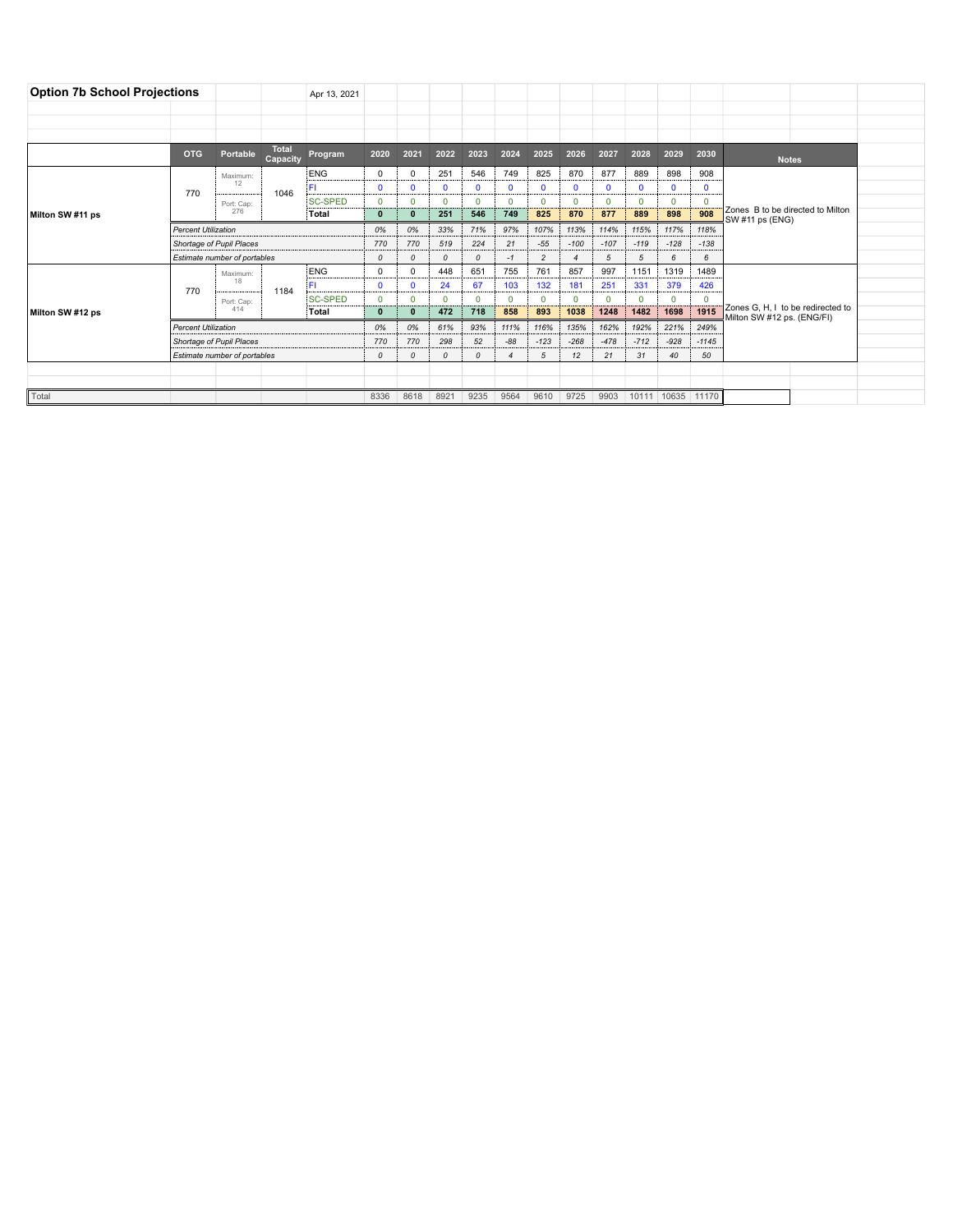| <b>Option 7b School Projections</b> |                              |                              |                          | Apr 13, 2021   |               |               |          |                          |              |                |          |              |              |              |              |                                                                 |        |  |
|-------------------------------------|------------------------------|------------------------------|--------------------------|----------------|---------------|---------------|----------|--------------------------|--------------|----------------|----------|--------------|--------------|--------------|--------------|-----------------------------------------------------------------|--------|--|
|                                     |                              |                              |                          |                |               |               |          |                          |              |                |          |              |              |              |              |                                                                 |        |  |
|                                     |                              |                              |                          |                |               |               |          |                          |              |                |          |              |              |              |              |                                                                 |        |  |
|                                     |                              |                              |                          |                |               |               |          |                          |              |                |          |              |              |              |              |                                                                 |        |  |
|                                     | <b>OTG</b>                   | Portable                     | <b>Total</b><br>Capacity | Program        | 2020          | 2021          | 2022     | 2023                     | 2024         | 2025           | 2026     | 2027         | 2028         | 2029         | 2030         | <b>Notes</b>                                                    |        |  |
|                                     | 770                          | Maximum:                     |                          | <b>ENG</b>     | 0             | $^{\circ}$    | 251      | 546                      | 749          | 825            | 870      | 877          | 889          | 898          | 908          |                                                                 |        |  |
|                                     |                              | 12                           | 1046                     | FL             | $\mathbf{0}$  | $\mathbf{0}$  | 0        | $\Omega$                 | $\mathbf{0}$ | $\Omega$       | 0        | $\mathbf{0}$ | $\mathbf{0}$ | $\mathbf{0}$ | $\mathbf{0}$ | Zones B to be directed to Milton<br>SW #11 ps (ENG)             |        |  |
|                                     |                              | Port: Cap:<br>276            |                          | <b>SC-SPED</b> | $\mathbf 0$   | $\mathbf 0$   | $\Omega$ | $\Omega$                 | $\mathbf 0$  | $\mathbf{0}$   | $\Omega$ | $\mathbf 0$  | $\mathbf 0$  | $\mathbf 0$  | $\mathbf 0$  |                                                                 |        |  |
| Milton SW #11 ps                    |                              |                              |                          | Total          | 0             | $\mathbf{0}$  | 251      | 546                      | 749          | 825            | 870      | 877          | 889          | 898          | 908          |                                                                 |        |  |
|                                     | <b>Percent Utilization</b>   |                              |                          | 0%             | 0%            | 33%           | 71%      | 97%                      | 107%         | 113%           | 114%     | 115%         | 117%         | 118%         |              |                                                                 |        |  |
|                                     | Shortage of Pupil Places     |                              |                          |                | 770           | 770           | 519      | 224                      | 21           | $-55$          | $-100$   | $-107$       | $-119$       | $-128$       |              |                                                                 | $-138$ |  |
|                                     | Estimate number of portables |                              |                          |                | 0             | $\mathcal{O}$ | $\Omega$ | $\Omega$                 | $-1$         | $\overline{c}$ |          | 5            | 5            | 6            |              |                                                                 | 6      |  |
|                                     | 770                          | Maximum:<br>18<br>Port: Cap: |                          | ENG            | $\mathbf 0$   | $\mathbf 0$   | 448      | 651                      | 755          | 761            | 857      | 997          | 1151         | 1319         | 1489         |                                                                 |        |  |
|                                     |                              |                              | 1184                     | ĒΠ             | $\mathbf{0}$  | $\mathbf{0}$  | 24       | 67                       | 103          | 132            | 181      | 251          | 331          | 379          | 426          |                                                                 |        |  |
|                                     |                              |                              |                          | <b>SC-SPED</b> | $\Omega$      | $\mathbf 0$   | $\Omega$ | $\Omega$                 | $\Omega$     | $\Omega$       | $\Omega$ | $\Omega$     | $\Omega$     | n            | $\Omega$     |                                                                 |        |  |
| Milton SW #12 ps                    |                              | 414                          |                          | Total          | $\mathbf{0}$  | $\mathbf{0}$  | 472      | 718                      | 858          | 893            | 1038     | 1248         | 1482         | 1698         | 1915         | Zones G. H. I to be redirected to<br>Milton SW #12 ps. (ENG/FI) |        |  |
|                                     | <b>Percent Utilization</b>   |                              |                          |                | 0%            | 0%            | 61%      | 93%                      | 111%         | 116%           | 135%     | 162%         | 192%         | 221%         | 249%         |                                                                 |        |  |
|                                     |                              | Shortage of Pupil Places     |                          |                |               | 770           | 298      | 52                       | $-88$        | $-123$         | $-268$   | $-478$       | $-712$       | $-928$       | $-1145$      |                                                                 |        |  |
|                                     | Estimate number of portables |                              |                          | $\Omega$       | $\mathcal{O}$ | $\Omega$      | $\Omega$ | $\overline{\mathcal{A}}$ | 5            | 12             | 21       | 31           | 40           | 50           |              |                                                                 |        |  |
|                                     |                              |                              |                          |                |               |               |          |                          |              |                |          |              |              |              |              |                                                                 |        |  |
|                                     |                              |                              |                          |                |               |               |          |                          |              |                |          |              |              |              |              |                                                                 |        |  |
| Total                               |                              |                              |                          |                | 8336          | 8618          | 8921     | 9235                     | 9564         | 9610           | 9725     | 9903         |              | 10111 10635  | 11170        |                                                                 |        |  |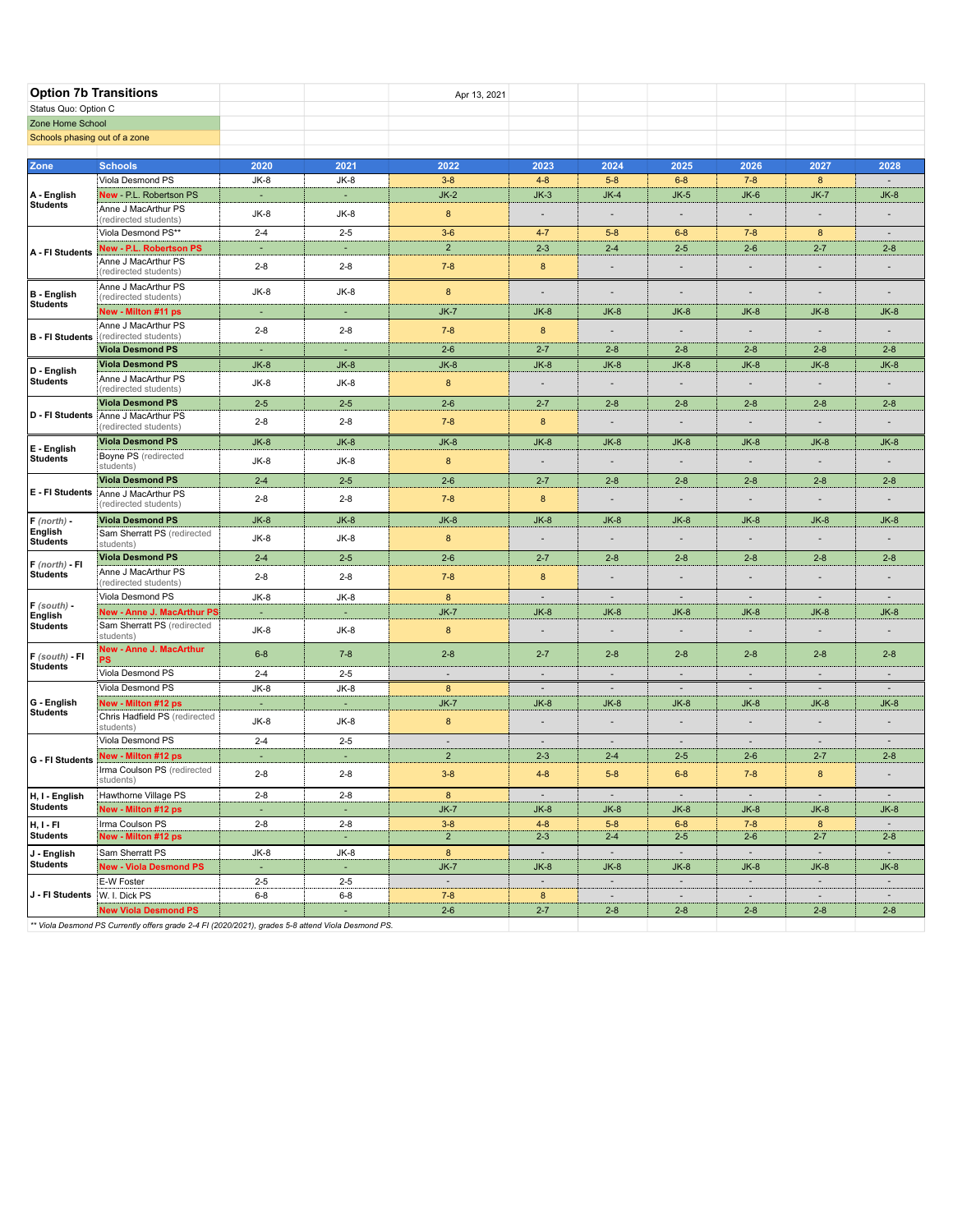| <b>Option 7b Transitions</b>                                                                                                                                                                                                                                   |                                                                                                  |                          |                   | Apr 13, 2021                                                                                                                                                                                                                                                                                                                                                                                                                                                                                                                                                                                                                                                                                                                                                                                                                                                                                                                                                                                                                                                                                                                                                                                                                                                                                                                                                                                                                                                                                                                                                                                                                                                                                                                                                                                                                                                                                                                                                                                                                                                                                                                                                                                                                                                                                                                                                                                                                                                                                                                                                                                                                                                                                                                                                                                                                                                                                                                                            |         |         |         |         |                                                                                                                                                                                                                                                                                                                                                                                                      |                          |
|----------------------------------------------------------------------------------------------------------------------------------------------------------------------------------------------------------------------------------------------------------------|--------------------------------------------------------------------------------------------------|--------------------------|-------------------|---------------------------------------------------------------------------------------------------------------------------------------------------------------------------------------------------------------------------------------------------------------------------------------------------------------------------------------------------------------------------------------------------------------------------------------------------------------------------------------------------------------------------------------------------------------------------------------------------------------------------------------------------------------------------------------------------------------------------------------------------------------------------------------------------------------------------------------------------------------------------------------------------------------------------------------------------------------------------------------------------------------------------------------------------------------------------------------------------------------------------------------------------------------------------------------------------------------------------------------------------------------------------------------------------------------------------------------------------------------------------------------------------------------------------------------------------------------------------------------------------------------------------------------------------------------------------------------------------------------------------------------------------------------------------------------------------------------------------------------------------------------------------------------------------------------------------------------------------------------------------------------------------------------------------------------------------------------------------------------------------------------------------------------------------------------------------------------------------------------------------------------------------------------------------------------------------------------------------------------------------------------------------------------------------------------------------------------------------------------------------------------------------------------------------------------------------------------------------------------------------------------------------------------------------------------------------------------------------------------------------------------------------------------------------------------------------------------------------------------------------------------------------------------------------------------------------------------------------------------------------------------------------------------------------------------------------------|---------|---------|---------|---------|------------------------------------------------------------------------------------------------------------------------------------------------------------------------------------------------------------------------------------------------------------------------------------------------------------------------------------------------------------------------------------------------------|--------------------------|
| Status Quo: Option C                                                                                                                                                                                                                                           |                                                                                                  |                          |                   |                                                                                                                                                                                                                                                                                                                                                                                                                                                                                                                                                                                                                                                                                                                                                                                                                                                                                                                                                                                                                                                                                                                                                                                                                                                                                                                                                                                                                                                                                                                                                                                                                                                                                                                                                                                                                                                                                                                                                                                                                                                                                                                                                                                                                                                                                                                                                                                                                                                                                                                                                                                                                                                                                                                                                                                                                                                                                                                                                         |         |         |         |         |                                                                                                                                                                                                                                                                                                                                                                                                      |                          |
| Zone Home School                                                                                                                                                                                                                                               |                                                                                                  |                          |                   |                                                                                                                                                                                                                                                                                                                                                                                                                                                                                                                                                                                                                                                                                                                                                                                                                                                                                                                                                                                                                                                                                                                                                                                                                                                                                                                                                                                                                                                                                                                                                                                                                                                                                                                                                                                                                                                                                                                                                                                                                                                                                                                                                                                                                                                                                                                                                                                                                                                                                                                                                                                                                                                                                                                                                                                                                                                                                                                                                         |         |         |         |         |                                                                                                                                                                                                                                                                                                                                                                                                      |                          |
| Schools phasing out of a zone                                                                                                                                                                                                                                  |                                                                                                  |                          |                   |                                                                                                                                                                                                                                                                                                                                                                                                                                                                                                                                                                                                                                                                                                                                                                                                                                                                                                                                                                                                                                                                                                                                                                                                                                                                                                                                                                                                                                                                                                                                                                                                                                                                                                                                                                                                                                                                                                                                                                                                                                                                                                                                                                                                                                                                                                                                                                                                                                                                                                                                                                                                                                                                                                                                                                                                                                                                                                                                                         |         |         |         |         |                                                                                                                                                                                                                                                                                                                                                                                                      |                          |
|                                                                                                                                                                                                                                                                |                                                                                                  |                          |                   |                                                                                                                                                                                                                                                                                                                                                                                                                                                                                                                                                                                                                                                                                                                                                                                                                                                                                                                                                                                                                                                                                                                                                                                                                                                                                                                                                                                                                                                                                                                                                                                                                                                                                                                                                                                                                                                                                                                                                                                                                                                                                                                                                                                                                                                                                                                                                                                                                                                                                                                                                                                                                                                                                                                                                                                                                                                                                                                                                         |         |         |         |         |                                                                                                                                                                                                                                                                                                                                                                                                      |                          |
| Zone                                                                                                                                                                                                                                                           | <b>Schools</b>                                                                                   | 2020                     | 2021              |                                                                                                                                                                                                                                                                                                                                                                                                                                                                                                                                                                                                                                                                                                                                                                                                                                                                                                                                                                                                                                                                                                                                                                                                                                                                                                                                                                                                                                                                                                                                                                                                                                                                                                                                                                                                                                                                                                                                                                                                                                                                                                                                                                                                                                                                                                                                                                                                                                                                                                                                                                                                                                                                                                                                                                                                                                                                                                                                                         |         |         |         |         |                                                                                                                                                                                                                                                                                                                                                                                                      |                          |
| A - English                                                                                                                                                                                                                                                    | Viola Desmond PS<br>New - P.L. Robertson PS                                                      | $JK-8$<br>$\sim$         | JK-8<br>÷         |                                                                                                                                                                                                                                                                                                                                                                                                                                                                                                                                                                                                                                                                                                                                                                                                                                                                                                                                                                                                                                                                                                                                                                                                                                                                                                                                                                                                                                                                                                                                                                                                                                                                                                                                                                                                                                                                                                                                                                                                                                                                                                                                                                                                                                                                                                                                                                                                                                                                                                                                                                                                                                                                                                                                                                                                                                                                                                                                                         |         |         |         |         |                                                                                                                                                                                                                                                                                                                                                                                                      |                          |
| Students                                                                                                                                                                                                                                                       | Anne J MacArthur PS                                                                              |                          |                   |                                                                                                                                                                                                                                                                                                                                                                                                                                                                                                                                                                                                                                                                                                                                                                                                                                                                                                                                                                                                                                                                                                                                                                                                                                                                                                                                                                                                                                                                                                                                                                                                                                                                                                                                                                                                                                                                                                                                                                                                                                                                                                                                                                                                                                                                                                                                                                                                                                                                                                                                                                                                                                                                                                                                                                                                                                                                                                                                                         |         |         |         |         |                                                                                                                                                                                                                                                                                                                                                                                                      |                          |
|                                                                                                                                                                                                                                                                | (redirected students)                                                                            | $JK-8$                   | JK-8              |                                                                                                                                                                                                                                                                                                                                                                                                                                                                                                                                                                                                                                                                                                                                                                                                                                                                                                                                                                                                                                                                                                                                                                                                                                                                                                                                                                                                                                                                                                                                                                                                                                                                                                                                                                                                                                                                                                                                                                                                                                                                                                                                                                                                                                                                                                                                                                                                                                                                                                                                                                                                                                                                                                                                                                                                                                                                                                                                                         |         |         |         |         |                                                                                                                                                                                                                                                                                                                                                                                                      |                          |
| A - FI Students                                                                                                                                                                                                                                                | Viola Desmond PS**                                                                               | $2 - 4$                  | $2 - 5$           |                                                                                                                                                                                                                                                                                                                                                                                                                                                                                                                                                                                                                                                                                                                                                                                                                                                                                                                                                                                                                                                                                                                                                                                                                                                                                                                                                                                                                                                                                                                                                                                                                                                                                                                                                                                                                                                                                                                                                                                                                                                                                                                                                                                                                                                                                                                                                                                                                                                                                                                                                                                                                                                                                                                                                                                                                                                                                                                                                         | $4 - 7$ | $5 - 8$ | $6 - 8$ | $7 - 8$ |                                                                                                                                                                                                                                                                                                                                                                                                      | $\overline{\phantom{a}}$ |
|                                                                                                                                                                                                                                                                | <b>New - P.L. Robertson PS</b><br>Anne J MacArthur PS                                            | ×                        | ×                 | 2022<br>2023<br>2024<br>2025<br>2026<br>$7 - 8$<br>$3 - 8$<br>$4 - 8$<br>$5 - 8$<br>$6 - 8$<br>$JK-2$<br>$JK-3$<br>$JK-4$<br>$JK-5$<br>$JK-6$<br>8<br>$\overline{\phantom{a}}$<br>$\overline{\phantom{a}}$<br>$\overline{a}$<br>٠<br>$3-6$<br>$\overline{2}$<br>$2 - 3$<br>$2 - 4$<br>$2 - 5$<br>$2 - 6$<br>$\bf8$<br>$7 - 8$<br>$\blacksquare$<br>$\overline{\phantom{a}}$<br>8<br>$\overline{\phantom{a}}$<br>$\overline{\phantom{a}}$<br>$\qquad \qquad \blacksquare$<br>$\overline{\phantom{a}}$<br>$JK-7$<br>$JK-8$<br>$JK-8$<br>$JK-8$<br>$JK-8$<br>$\bf8$<br>$7 - 8$<br>$\overline{\phantom{a}}$<br>$\overline{\phantom{a}}$<br>÷,<br>$2 - 6$<br>$2 - 8$<br>$2 - 8$<br>$2 - 8$<br>$2 - 7$<br>$JK-8$<br>$JK-8$<br>$JK-8$<br>$JK-8$<br>$JK-8$<br>$\bf{8}$<br>$\overline{\phantom{a}}$<br>$2 - 6$<br>$2 - 7$<br>$2 - 8$<br>$2 - 8$<br>$2 - 8$<br>8<br>$7 - 8$<br>$\overline{\phantom{a}}$<br>$\overline{\phantom{a}}$<br>$\overline{\phantom{a}}$<br>$JK-8$<br>$JK-8$<br>$JK-8$<br>$JK-8$<br>$JK-8$<br>$\bf 8$<br>$\overline{\phantom{a}}$<br>$\overline{\phantom{a}}$<br>$\overline{\phantom{a}}$<br>÷,<br>$2 - 6$<br>$2 - 7$<br>$2 - 8$<br>$2 - 8$<br>$2 - 8$<br>$7 - 8$<br>8<br>÷,<br>$\blacksquare$<br>$\overline{a}$<br>$JK-8$<br>$JK-8$<br>$JK-8$<br>$JK-8$<br>$JK-8$<br>8<br>$\overline{\phantom{a}}$<br>$\qquad \qquad \blacksquare$<br>$\overline{\phantom{a}}$<br>$2-6$<br>$2 - 7$<br>$2 - 8$<br>$2 - 8$<br>$2 - 8$<br>8<br>$7 - 8$<br>$\blacksquare$<br>$\overline{a}$<br>8<br>$\overline{\phantom{a}}$<br>$\overline{\phantom{a}}$<br>$\overline{\phantom{a}}$<br>$\overline{\phantom{a}}$<br>$JK-7$<br>$JK-8$<br>$JK-8$<br>$JK-8$<br>$JK-8$<br>8<br>÷,<br>$\overline{\phantom{a}}$<br>$\blacksquare$<br>÷<br>$2 - 8$<br>$2 - 7$<br>$2 - 8$<br>$2 - 8$<br>$2 - 8$<br>$\overline{\phantom{a}}$<br>$\overline{\phantom{a}}$<br>$\sim$<br>$\sim$<br>$\sim$<br>8<br>$\overline{\phantom{a}}$<br>$\overline{\phantom{a}}$<br>$\overline{\phantom{a}}$<br>$\overline{\phantom{a}}$<br>$JK-7$<br>$JK-8$<br>$JK-8$<br>$JK-8$<br>$JK-8$<br>8<br>$\overline{\phantom{a}}$<br>$\blacksquare$<br>$\overline{\phantom{a}}$<br>$\overline{\phantom{a}}$<br>$\overline{\phantom{a}}$<br>$\sim$<br>$\overline{\phantom{a}}$<br>$\overline{\phantom{a}}$<br>$\overline{\phantom{a}}$<br>$\overline{2}$<br>$2 - 3$<br>$2 - 6$<br>$2 - 4$<br>$2 - 5$<br>$4 - 8$<br>$3 - 8$<br>$5 - 8$<br>$6 - 8$<br>$7 - 8$<br>$\sim$<br>$\overline{\phantom{a}}$<br>$\sim$<br>$\sim$<br>8<br>$JK-7$<br>$JK-8$<br>$JK-8$<br>$JK-8$<br>$JK-8$<br>$3 - 8$<br>$4 - 8$<br>$5 - 8$<br>$6 - 8$<br>$7 - 8$<br>$\mathbf 2$<br>$2 - 3$<br>$2 - 4$<br>$2 - 5$<br>$2 - 6$<br>8<br>$\sim$<br>$\sim$<br>$\sim$<br>$\sim$<br>$JK-7$<br>$JK-8$<br>$JK-8$<br>$JK-8$<br>$JK-8$<br>$\overline{\phantom{a}}$<br>$\sim$<br>$\sim$<br>$\sim$<br>$\sim$<br>$7 - 8$<br>8<br>$\overline{\phantom{a}}$<br>$\overline{\phantom{a}}$<br>$\sim$<br>$2 - 6$<br>$2 - 7$<br>$2 - 8$<br>$2 - 8$<br>$2 - 8$ |         |         |         |         |                                                                                                                                                                                                                                                                                                                                                                                                      |                          |
|                                                                                                                                                                                                                                                                | (redirected students)                                                                            | $2 - 8$                  | $2 - 8$           |                                                                                                                                                                                                                                                                                                                                                                                                                                                                                                                                                                                                                                                                                                                                                                                                                                                                                                                                                                                                                                                                                                                                                                                                                                                                                                                                                                                                                                                                                                                                                                                                                                                                                                                                                                                                                                                                                                                                                                                                                                                                                                                                                                                                                                                                                                                                                                                                                                                                                                                                                                                                                                                                                                                                                                                                                                                                                                                                                         |         |         |         |         | 2027<br>8<br>$JK-7$<br>٠<br>8<br>$2 - 7$<br>$\overline{a}$<br>$\qquad \qquad \blacksquare$<br>$JK-8$<br>$2 - 8$<br>$JK-8$<br>$2 - 8$<br>$JK-8$<br>$2 - 8$<br>$JK-8$<br>$2 - 8$<br>$\overline{\phantom{a}}$<br>$JK-8$<br>$\overline{a}$<br>$2 - 8$<br>$\overline{\phantom{a}}$<br>$JK-8$<br>÷,<br>$2 - 7$<br>8<br>$\sim$<br>$JK-8$<br>8<br>$2 - 7$<br>$\sim$<br>$JK-8$<br>$\sim$<br>$\sim$<br>$2 - 8$ |                          |
| <b>B</b> - English                                                                                                                                                                                                                                             | Anne J MacArthur PS<br>(redirected students)                                                     | $JK-8$                   | JK-8              |                                                                                                                                                                                                                                                                                                                                                                                                                                                                                                                                                                                                                                                                                                                                                                                                                                                                                                                                                                                                                                                                                                                                                                                                                                                                                                                                                                                                                                                                                                                                                                                                                                                                                                                                                                                                                                                                                                                                                                                                                                                                                                                                                                                                                                                                                                                                                                                                                                                                                                                                                                                                                                                                                                                                                                                                                                                                                                                                                         |         |         |         |         |                                                                                                                                                                                                                                                                                                                                                                                                      | $\overline{\phantom{a}}$ |
|                                                                                                                                                                                                                                                                | New - Milton #11 ps                                                                              |                          | ×,                |                                                                                                                                                                                                                                                                                                                                                                                                                                                                                                                                                                                                                                                                                                                                                                                                                                                                                                                                                                                                                                                                                                                                                                                                                                                                                                                                                                                                                                                                                                                                                                                                                                                                                                                                                                                                                                                                                                                                                                                                                                                                                                                                                                                                                                                                                                                                                                                                                                                                                                                                                                                                                                                                                                                                                                                                                                                                                                                                                         |         |         |         |         | 2028<br>$\overline{\phantom{a}}$<br>$JK-8$<br>$2 - 8$<br>$JK-8$<br>$2 - 8$<br>$JK-8$<br>$2 - 8$<br>$JK-8$<br>$2 - 8$<br>$JK-8$<br>$2 - 8$<br>$JK-8$<br>$2 - 8$<br>$\sim$<br>$JK-8$<br>$\overline{\phantom{a}}$<br>$2 - 8$<br>$\sim$<br>$JK-8$<br>$\sim$<br>$2 - 8$<br>$\sim$<br>$JK-8$<br>$\sim$<br>$\overline{\phantom{a}}$<br>$2 - 8$                                                              |                          |
| <b>B</b> - FI Students                                                                                                                                                                                                                                         | Anne J MacArthur PS<br>(redirected students)                                                     | $2 - 8$                  | $2 - 8$           |                                                                                                                                                                                                                                                                                                                                                                                                                                                                                                                                                                                                                                                                                                                                                                                                                                                                                                                                                                                                                                                                                                                                                                                                                                                                                                                                                                                                                                                                                                                                                                                                                                                                                                                                                                                                                                                                                                                                                                                                                                                                                                                                                                                                                                                                                                                                                                                                                                                                                                                                                                                                                                                                                                                                                                                                                                                                                                                                                         |         |         |         |         |                                                                                                                                                                                                                                                                                                                                                                                                      |                          |
|                                                                                                                                                                                                                                                                | <b>Viola Desmond PS</b>                                                                          | $\overline{\phantom{a}}$ | $\sim$            |                                                                                                                                                                                                                                                                                                                                                                                                                                                                                                                                                                                                                                                                                                                                                                                                                                                                                                                                                                                                                                                                                                                                                                                                                                                                                                                                                                                                                                                                                                                                                                                                                                                                                                                                                                                                                                                                                                                                                                                                                                                                                                                                                                                                                                                                                                                                                                                                                                                                                                                                                                                                                                                                                                                                                                                                                                                                                                                                                         |         |         |         |         |                                                                                                                                                                                                                                                                                                                                                                                                      |                          |
| D - English                                                                                                                                                                                                                                                    | <b>Viola Desmond PS</b>                                                                          | $JK-8$                   | $JK-8$            |                                                                                                                                                                                                                                                                                                                                                                                                                                                                                                                                                                                                                                                                                                                                                                                                                                                                                                                                                                                                                                                                                                                                                                                                                                                                                                                                                                                                                                                                                                                                                                                                                                                                                                                                                                                                                                                                                                                                                                                                                                                                                                                                                                                                                                                                                                                                                                                                                                                                                                                                                                                                                                                                                                                                                                                                                                                                                                                                                         |         |         |         |         |                                                                                                                                                                                                                                                                                                                                                                                                      |                          |
|                                                                                                                                                                                                                                                                | Anne J MacArthur PS<br>(redirected students)                                                     | JK-8                     | JK-8              |                                                                                                                                                                                                                                                                                                                                                                                                                                                                                                                                                                                                                                                                                                                                                                                                                                                                                                                                                                                                                                                                                                                                                                                                                                                                                                                                                                                                                                                                                                                                                                                                                                                                                                                                                                                                                                                                                                                                                                                                                                                                                                                                                                                                                                                                                                                                                                                                                                                                                                                                                                                                                                                                                                                                                                                                                                                                                                                                                         |         |         |         |         |                                                                                                                                                                                                                                                                                                                                                                                                      |                          |
|                                                                                                                                                                                                                                                                | <b>Viola Desmond PS</b>                                                                          | $2 - 5$                  | $2 - 5$           |                                                                                                                                                                                                                                                                                                                                                                                                                                                                                                                                                                                                                                                                                                                                                                                                                                                                                                                                                                                                                                                                                                                                                                                                                                                                                                                                                                                                                                                                                                                                                                                                                                                                                                                                                                                                                                                                                                                                                                                                                                                                                                                                                                                                                                                                                                                                                                                                                                                                                                                                                                                                                                                                                                                                                                                                                                                                                                                                                         |         |         |         |         |                                                                                                                                                                                                                                                                                                                                                                                                      |                          |
|                                                                                                                                                                                                                                                                | (redirected students)                                                                            | $2 - 8$                  | $2 - 8$           |                                                                                                                                                                                                                                                                                                                                                                                                                                                                                                                                                                                                                                                                                                                                                                                                                                                                                                                                                                                                                                                                                                                                                                                                                                                                                                                                                                                                                                                                                                                                                                                                                                                                                                                                                                                                                                                                                                                                                                                                                                                                                                                                                                                                                                                                                                                                                                                                                                                                                                                                                                                                                                                                                                                                                                                                                                                                                                                                                         |         |         |         |         |                                                                                                                                                                                                                                                                                                                                                                                                      |                          |
| E - English                                                                                                                                                                                                                                                    | <b>Viola Desmond PS</b>                                                                          | $JK-8$                   | $JK-8$            |                                                                                                                                                                                                                                                                                                                                                                                                                                                                                                                                                                                                                                                                                                                                                                                                                                                                                                                                                                                                                                                                                                                                                                                                                                                                                                                                                                                                                                                                                                                                                                                                                                                                                                                                                                                                                                                                                                                                                                                                                                                                                                                                                                                                                                                                                                                                                                                                                                                                                                                                                                                                                                                                                                                                                                                                                                                                                                                                                         |         |         |         |         |                                                                                                                                                                                                                                                                                                                                                                                                      |                          |
|                                                                                                                                                                                                                                                                | <b>Boyne PS</b> (redirected<br>students)                                                         | $JK-8$                   | JK-8              |                                                                                                                                                                                                                                                                                                                                                                                                                                                                                                                                                                                                                                                                                                                                                                                                                                                                                                                                                                                                                                                                                                                                                                                                                                                                                                                                                                                                                                                                                                                                                                                                                                                                                                                                                                                                                                                                                                                                                                                                                                                                                                                                                                                                                                                                                                                                                                                                                                                                                                                                                                                                                                                                                                                                                                                                                                                                                                                                                         |         |         |         |         |                                                                                                                                                                                                                                                                                                                                                                                                      |                          |
|                                                                                                                                                                                                                                                                | <b>Viola Desmond PS</b>                                                                          | $2 - 4$                  | $2 - 5$           |                                                                                                                                                                                                                                                                                                                                                                                                                                                                                                                                                                                                                                                                                                                                                                                                                                                                                                                                                                                                                                                                                                                                                                                                                                                                                                                                                                                                                                                                                                                                                                                                                                                                                                                                                                                                                                                                                                                                                                                                                                                                                                                                                                                                                                                                                                                                                                                                                                                                                                                                                                                                                                                                                                                                                                                                                                                                                                                                                         |         |         |         |         |                                                                                                                                                                                                                                                                                                                                                                                                      |                          |
|                                                                                                                                                                                                                                                                | (redirected students)                                                                            | $2 - 8$                  | $2 - 8$           |                                                                                                                                                                                                                                                                                                                                                                                                                                                                                                                                                                                                                                                                                                                                                                                                                                                                                                                                                                                                                                                                                                                                                                                                                                                                                                                                                                                                                                                                                                                                                                                                                                                                                                                                                                                                                                                                                                                                                                                                                                                                                                                                                                                                                                                                                                                                                                                                                                                                                                                                                                                                                                                                                                                                                                                                                                                                                                                                                         |         |         |         |         |                                                                                                                                                                                                                                                                                                                                                                                                      |                          |
| $F$ (north) -<br>English<br><b>Students</b><br>$F$ (north) - FI                                                                                                                                                                                                | <b>Viola Desmond PS</b>                                                                          | $JK-8$                   | $JK-8$            |                                                                                                                                                                                                                                                                                                                                                                                                                                                                                                                                                                                                                                                                                                                                                                                                                                                                                                                                                                                                                                                                                                                                                                                                                                                                                                                                                                                                                                                                                                                                                                                                                                                                                                                                                                                                                                                                                                                                                                                                                                                                                                                                                                                                                                                                                                                                                                                                                                                                                                                                                                                                                                                                                                                                                                                                                                                                                                                                                         |         |         |         |         |                                                                                                                                                                                                                                                                                                                                                                                                      |                          |
|                                                                                                                                                                                                                                                                | Sam Sherratt PS (redirected<br>students)                                                         | $JK-8$                   | JK-8              |                                                                                                                                                                                                                                                                                                                                                                                                                                                                                                                                                                                                                                                                                                                                                                                                                                                                                                                                                                                                                                                                                                                                                                                                                                                                                                                                                                                                                                                                                                                                                                                                                                                                                                                                                                                                                                                                                                                                                                                                                                                                                                                                                                                                                                                                                                                                                                                                                                                                                                                                                                                                                                                                                                                                                                                                                                                                                                                                                         |         |         |         |         |                                                                                                                                                                                                                                                                                                                                                                                                      |                          |
|                                                                                                                                                                                                                                                                | <b>Viola Desmond PS</b>                                                                          | $2 - 4$                  | $2 - 5$           |                                                                                                                                                                                                                                                                                                                                                                                                                                                                                                                                                                                                                                                                                                                                                                                                                                                                                                                                                                                                                                                                                                                                                                                                                                                                                                                                                                                                                                                                                                                                                                                                                                                                                                                                                                                                                                                                                                                                                                                                                                                                                                                                                                                                                                                                                                                                                                                                                                                                                                                                                                                                                                                                                                                                                                                                                                                                                                                                                         |         |         |         |         |                                                                                                                                                                                                                                                                                                                                                                                                      |                          |
| <b>Students</b>                                                                                                                                                                                                                                                | Anne J MacArthur PS<br>(redirected students)                                                     | $2 - 8$                  | $2 - 8$           |                                                                                                                                                                                                                                                                                                                                                                                                                                                                                                                                                                                                                                                                                                                                                                                                                                                                                                                                                                                                                                                                                                                                                                                                                                                                                                                                                                                                                                                                                                                                                                                                                                                                                                                                                                                                                                                                                                                                                                                                                                                                                                                                                                                                                                                                                                                                                                                                                                                                                                                                                                                                                                                                                                                                                                                                                                                                                                                                                         |         |         |         |         |                                                                                                                                                                                                                                                                                                                                                                                                      |                          |
|                                                                                                                                                                                                                                                                | Viola Desmond PS                                                                                 | JK-8                     | JK-8              |                                                                                                                                                                                                                                                                                                                                                                                                                                                                                                                                                                                                                                                                                                                                                                                                                                                                                                                                                                                                                                                                                                                                                                                                                                                                                                                                                                                                                                                                                                                                                                                                                                                                                                                                                                                                                                                                                                                                                                                                                                                                                                                                                                                                                                                                                                                                                                                                                                                                                                                                                                                                                                                                                                                                                                                                                                                                                                                                                         |         |         |         |         |                                                                                                                                                                                                                                                                                                                                                                                                      |                          |
| English                                                                                                                                                                                                                                                        | New - Anne J. MacArthur PS                                                                       | ÷.                       | ÷.                |                                                                                                                                                                                                                                                                                                                                                                                                                                                                                                                                                                                                                                                                                                                                                                                                                                                                                                                                                                                                                                                                                                                                                                                                                                                                                                                                                                                                                                                                                                                                                                                                                                                                                                                                                                                                                                                                                                                                                                                                                                                                                                                                                                                                                                                                                                                                                                                                                                                                                                                                                                                                                                                                                                                                                                                                                                                                                                                                                         |         |         |         |         |                                                                                                                                                                                                                                                                                                                                                                                                      |                          |
| <b>Students</b>                                                                                                                                                                                                                                                | Sam Sherratt PS (redirected<br>students)                                                         | JK-8                     | JK-8              |                                                                                                                                                                                                                                                                                                                                                                                                                                                                                                                                                                                                                                                                                                                                                                                                                                                                                                                                                                                                                                                                                                                                                                                                                                                                                                                                                                                                                                                                                                                                                                                                                                                                                                                                                                                                                                                                                                                                                                                                                                                                                                                                                                                                                                                                                                                                                                                                                                                                                                                                                                                                                                                                                                                                                                                                                                                                                                                                                         |         |         |         |         |                                                                                                                                                                                                                                                                                                                                                                                                      |                          |
| $F$ (south) - FI                                                                                                                                                                                                                                               | New - Anne J. MacArthur<br><b>PS</b>                                                             | $6 - 8$                  | $7 - 8$           |                                                                                                                                                                                                                                                                                                                                                                                                                                                                                                                                                                                                                                                                                                                                                                                                                                                                                                                                                                                                                                                                                                                                                                                                                                                                                                                                                                                                                                                                                                                                                                                                                                                                                                                                                                                                                                                                                                                                                                                                                                                                                                                                                                                                                                                                                                                                                                                                                                                                                                                                                                                                                                                                                                                                                                                                                                                                                                                                                         |         |         |         |         |                                                                                                                                                                                                                                                                                                                                                                                                      |                          |
|                                                                                                                                                                                                                                                                | Viola Desmond PS                                                                                 | $2 - 4$                  | $2 - 5$           |                                                                                                                                                                                                                                                                                                                                                                                                                                                                                                                                                                                                                                                                                                                                                                                                                                                                                                                                                                                                                                                                                                                                                                                                                                                                                                                                                                                                                                                                                                                                                                                                                                                                                                                                                                                                                                                                                                                                                                                                                                                                                                                                                                                                                                                                                                                                                                                                                                                                                                                                                                                                                                                                                                                                                                                                                                                                                                                                                         |         |         |         |         |                                                                                                                                                                                                                                                                                                                                                                                                      |                          |
|                                                                                                                                                                                                                                                                | Viola Desmond PS                                                                                 | JK-8                     | JK-8              |                                                                                                                                                                                                                                                                                                                                                                                                                                                                                                                                                                                                                                                                                                                                                                                                                                                                                                                                                                                                                                                                                                                                                                                                                                                                                                                                                                                                                                                                                                                                                                                                                                                                                                                                                                                                                                                                                                                                                                                                                                                                                                                                                                                                                                                                                                                                                                                                                                                                                                                                                                                                                                                                                                                                                                                                                                                                                                                                                         |         |         |         |         |                                                                                                                                                                                                                                                                                                                                                                                                      |                          |
| <b>Students</b>                                                                                                                                                                                                                                                | New - Milton #12 ps<br>Chris Hadfield PS (redirected<br>students)                                | $\sim$<br>JK-8           | $\sim$<br>JK-8    |                                                                                                                                                                                                                                                                                                                                                                                                                                                                                                                                                                                                                                                                                                                                                                                                                                                                                                                                                                                                                                                                                                                                                                                                                                                                                                                                                                                                                                                                                                                                                                                                                                                                                                                                                                                                                                                                                                                                                                                                                                                                                                                                                                                                                                                                                                                                                                                                                                                                                                                                                                                                                                                                                                                                                                                                                                                                                                                                                         |         |         |         |         |                                                                                                                                                                                                                                                                                                                                                                                                      |                          |
|                                                                                                                                                                                                                                                                | Viola Desmond PS                                                                                 | $2 - 4$                  | $2 - 5$           |                                                                                                                                                                                                                                                                                                                                                                                                                                                                                                                                                                                                                                                                                                                                                                                                                                                                                                                                                                                                                                                                                                                                                                                                                                                                                                                                                                                                                                                                                                                                                                                                                                                                                                                                                                                                                                                                                                                                                                                                                                                                                                                                                                                                                                                                                                                                                                                                                                                                                                                                                                                                                                                                                                                                                                                                                                                                                                                                                         |         |         |         |         |                                                                                                                                                                                                                                                                                                                                                                                                      |                          |
|                                                                                                                                                                                                                                                                | New - Milton #12 ps                                                                              | ÷.                       | ×.                |                                                                                                                                                                                                                                                                                                                                                                                                                                                                                                                                                                                                                                                                                                                                                                                                                                                                                                                                                                                                                                                                                                                                                                                                                                                                                                                                                                                                                                                                                                                                                                                                                                                                                                                                                                                                                                                                                                                                                                                                                                                                                                                                                                                                                                                                                                                                                                                                                                                                                                                                                                                                                                                                                                                                                                                                                                                                                                                                                         |         |         |         |         |                                                                                                                                                                                                                                                                                                                                                                                                      |                          |
|                                                                                                                                                                                                                                                                | Irma Coulson PS (redirected<br>students)                                                         | $2 - 8$                  | $2 - 8$           |                                                                                                                                                                                                                                                                                                                                                                                                                                                                                                                                                                                                                                                                                                                                                                                                                                                                                                                                                                                                                                                                                                                                                                                                                                                                                                                                                                                                                                                                                                                                                                                                                                                                                                                                                                                                                                                                                                                                                                                                                                                                                                                                                                                                                                                                                                                                                                                                                                                                                                                                                                                                                                                                                                                                                                                                                                                                                                                                                         |         |         |         |         |                                                                                                                                                                                                                                                                                                                                                                                                      |                          |
| H, I - English                                                                                                                                                                                                                                                 | Hawthorne Village PS                                                                             | $2 - 8$                  | $2 - 8$           |                                                                                                                                                                                                                                                                                                                                                                                                                                                                                                                                                                                                                                                                                                                                                                                                                                                                                                                                                                                                                                                                                                                                                                                                                                                                                                                                                                                                                                                                                                                                                                                                                                                                                                                                                                                                                                                                                                                                                                                                                                                                                                                                                                                                                                                                                                                                                                                                                                                                                                                                                                                                                                                                                                                                                                                                                                                                                                                                                         |         |         |         |         |                                                                                                                                                                                                                                                                                                                                                                                                      |                          |
|                                                                                                                                                                                                                                                                | New - Milton #12 ps                                                                              |                          |                   |                                                                                                                                                                                                                                                                                                                                                                                                                                                                                                                                                                                                                                                                                                                                                                                                                                                                                                                                                                                                                                                                                                                                                                                                                                                                                                                                                                                                                                                                                                                                                                                                                                                                                                                                                                                                                                                                                                                                                                                                                                                                                                                                                                                                                                                                                                                                                                                                                                                                                                                                                                                                                                                                                                                                                                                                                                                                                                                                                         |         |         |         |         |                                                                                                                                                                                                                                                                                                                                                                                                      |                          |
| H, I - FI                                                                                                                                                                                                                                                      | Irma Coulson PS                                                                                  | $2 - 8$                  | $2 - 8$<br>$\sim$ |                                                                                                                                                                                                                                                                                                                                                                                                                                                                                                                                                                                                                                                                                                                                                                                                                                                                                                                                                                                                                                                                                                                                                                                                                                                                                                                                                                                                                                                                                                                                                                                                                                                                                                                                                                                                                                                                                                                                                                                                                                                                                                                                                                                                                                                                                                                                                                                                                                                                                                                                                                                                                                                                                                                                                                                                                                                                                                                                                         |         |         |         |         |                                                                                                                                                                                                                                                                                                                                                                                                      |                          |
|                                                                                                                                                                                                                                                                | New - Milton #12 ps<br>Sam Sherratt PS                                                           | $JK-8$                   | JK-8              |                                                                                                                                                                                                                                                                                                                                                                                                                                                                                                                                                                                                                                                                                                                                                                                                                                                                                                                                                                                                                                                                                                                                                                                                                                                                                                                                                                                                                                                                                                                                                                                                                                                                                                                                                                                                                                                                                                                                                                                                                                                                                                                                                                                                                                                                                                                                                                                                                                                                                                                                                                                                                                                                                                                                                                                                                                                                                                                                                         |         |         |         |         |                                                                                                                                                                                                                                                                                                                                                                                                      |                          |
| <b>Students</b>                                                                                                                                                                                                                                                | <b>New - Viola Desmond PS</b>                                                                    | ×.                       | $\sim$            |                                                                                                                                                                                                                                                                                                                                                                                                                                                                                                                                                                                                                                                                                                                                                                                                                                                                                                                                                                                                                                                                                                                                                                                                                                                                                                                                                                                                                                                                                                                                                                                                                                                                                                                                                                                                                                                                                                                                                                                                                                                                                                                                                                                                                                                                                                                                                                                                                                                                                                                                                                                                                                                                                                                                                                                                                                                                                                                                                         |         |         |         |         |                                                                                                                                                                                                                                                                                                                                                                                                      |                          |
|                                                                                                                                                                                                                                                                | E-W Foster                                                                                       | $2 - 5$                  | $2 - 5$           |                                                                                                                                                                                                                                                                                                                                                                                                                                                                                                                                                                                                                                                                                                                                                                                                                                                                                                                                                                                                                                                                                                                                                                                                                                                                                                                                                                                                                                                                                                                                                                                                                                                                                                                                                                                                                                                                                                                                                                                                                                                                                                                                                                                                                                                                                                                                                                                                                                                                                                                                                                                                                                                                                                                                                                                                                                                                                                                                                         |         |         |         |         |                                                                                                                                                                                                                                                                                                                                                                                                      |                          |
| J - FI Students   W. I. Dick PS                                                                                                                                                                                                                                |                                                                                                  | $6 - 8$                  | $6 - 8$           |                                                                                                                                                                                                                                                                                                                                                                                                                                                                                                                                                                                                                                                                                                                                                                                                                                                                                                                                                                                                                                                                                                                                                                                                                                                                                                                                                                                                                                                                                                                                                                                                                                                                                                                                                                                                                                                                                                                                                                                                                                                                                                                                                                                                                                                                                                                                                                                                                                                                                                                                                                                                                                                                                                                                                                                                                                                                                                                                                         |         |         |         |         |                                                                                                                                                                                                                                                                                                                                                                                                      |                          |
| <b>Students</b><br><b>Students</b><br>D - FI Students Anne J MacArthur PS<br><b>Students</b><br>E - FI Students Anne J MacArthur PS<br>$F$ (south) -<br><b>Students</b><br>G - English<br>G - FI Students<br><b>Students</b><br><b>Students</b><br>J - English | <b>New Viola Desmond PS</b>                                                                      |                          |                   |                                                                                                                                                                                                                                                                                                                                                                                                                                                                                                                                                                                                                                                                                                                                                                                                                                                                                                                                                                                                                                                                                                                                                                                                                                                                                                                                                                                                                                                                                                                                                                                                                                                                                                                                                                                                                                                                                                                                                                                                                                                                                                                                                                                                                                                                                                                                                                                                                                                                                                                                                                                                                                                                                                                                                                                                                                                                                                                                                         |         |         |         |         |                                                                                                                                                                                                                                                                                                                                                                                                      |                          |
|                                                                                                                                                                                                                                                                | ** Viola Desmond PS Currently offers arade 2-4 EL (2020/2021) arades 5-8 attend Viola Desmond PS |                          |                   |                                                                                                                                                                                                                                                                                                                                                                                                                                                                                                                                                                                                                                                                                                                                                                                                                                                                                                                                                                                                                                                                                                                                                                                                                                                                                                                                                                                                                                                                                                                                                                                                                                                                                                                                                                                                                                                                                                                                                                                                                                                                                                                                                                                                                                                                                                                                                                                                                                                                                                                                                                                                                                                                                                                                                                                                                                                                                                                                                         |         |         |         |         |                                                                                                                                                                                                                                                                                                                                                                                                      |                          |

*\*\* Viola Desmond PS Currently offers grade 2-4 FI (2020/2021), grades 5-8 attend Viola Desmond PS.*